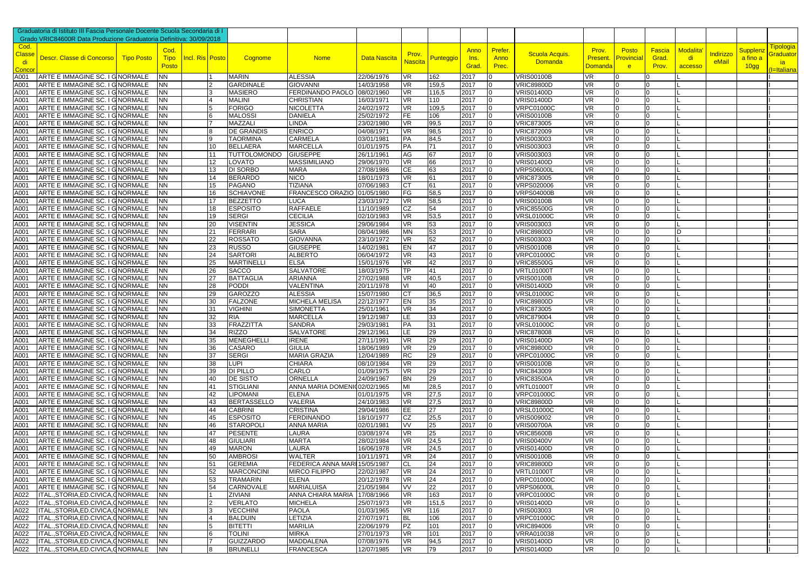|              | Craduatoria di Istituto III Fascia Personale Docente Scuola Secondaria di I |                        |                 |          |                                     |                                        |                          |                 |              |              |                      |                                        |                   |                     |                            |          |           |                             |                         |
|--------------|-----------------------------------------------------------------------------|------------------------|-----------------|----------|-------------------------------------|----------------------------------------|--------------------------|-----------------|--------------|--------------|----------------------|----------------------------------------|-------------------|---------------------|----------------------------|----------|-----------|-----------------------------|-------------------------|
|              | Grado VRIC84600R Data Produzione Graduatoria Definitiva: 30/09/2018         |                        |                 |          |                                     |                                        |                          |                 |              |              |                      |                                        |                   |                     |                            |          |           |                             |                         |
| Cod.         |                                                                             | Cod.                   |                 |          |                                     |                                        |                          |                 |              |              | <b>Prefer</b>        |                                        |                   |                     |                            | Modalita |           |                             | <u>Tipologia</u>        |
| <b>Class</b> | Descr. Classe di Concorso   Tipo Posto                                      | <b>Tipo</b>            | Incl. Ris Posto |          | Cognome                             | <b>Nome</b>                            | <b>Data Nascita</b>      | Prov.           | Punteggio    | Anno<br>Ins. | Anno                 | Scuola Acquis.                         | Prov.<br>Present. | Posto<br>Provincial | Fascia<br>Grad.            | di       | Indirizzo | <b>Supplenz</b><br>a fino a | <mark>Graduato</mark> i |
| di           |                                                                             | Posto                  |                 |          |                                     |                                        |                          | Nascita         |              | Grad.        | Prec.                | <b>Domanda</b>                         | <u>Domanda</u>    | e <sup>-</sup>      | Prov.                      | accesso  | eMail     | 10 <sub>gg</sub>            | <b>ia</b>               |
| Conco        |                                                                             |                        |                 |          |                                     |                                        |                          |                 |              |              |                      |                                        |                   |                     |                            |          |           |                             | I=Italiana              |
| A001         | ARTE E IMMAGINE SC. I G NORMALE                                             | <b>NN</b>              |                 |          | MARIN                               | <b>ALESSIA</b>                         | 22/06/1976               | VR              | 162          | 2017         |                      | <b>VRIS00100B</b>                      | VR                |                     |                            |          |           |                             |                         |
| A001         | ARTE E IMMAGINE SC. I GNORMALE                                              | <b>NN</b>              |                 |          | <b>GARDINALE</b>                    | <b>GIOVANNI</b>                        | 14/03/1958               | VR.             | 159,5        | 2017         | ١O                   | <b>VRIC89800D</b>                      | VR.               |                     |                            |          |           |                             |                         |
| A001<br>A001 | ARTE E IMMAGINE SC. I G NORMALE                                             | <b>NN</b>              |                 |          | <b>MASIERO</b>                      | <b>FERDINANDO PAOLO</b>                | 08/02/1960               | <b>VR</b>       | 116,5<br>110 | 2017         | <b>O</b><br>١O       | <b>VRIS01400D</b>                      | VR.               |                     | $\Omega$                   |          |           |                             |                         |
| A001         | ARTE E IMMAGINE SC. I G NORMALE<br>ARTE E IMMAGINE SC. I G NORMALE          | <b>NN</b><br><b>NN</b> |                 |          | MALINI<br><b>FORIGO</b>             | <b>CHRISTIAN</b><br><b>NICOLETTA</b>   | 16/03/1971<br>24/02/1972 | VR<br><b>VR</b> | 109,5        | 2017<br>2017 | l <sub>0</sub>       | <b>VRIS01400D</b><br><b>VRPC01000C</b> | VR<br>VR.         |                     |                            |          |           |                             |                         |
| A001         | ARTE E IMMAGINE SC. I G NORMALE                                             | <b>NN</b>              |                 |          | <b>MALOSSI</b>                      | <b>DANIELA</b>                         | 25/02/1972               | FE.             | 106          | 2017         | 10                   | <b>VRIS00100B</b>                      | VR.               |                     | $\mathbf{0}$               |          |           |                             |                         |
| A001         | ARTE E IMMAGINE SC. I G NORMALE                                             | <b>NN</b>              |                 |          | MAZZALI                             | <b>LINDA</b>                           | 23/02/1980               | <b>VR</b>       | 99,5         | 2017         | 0                    | <b>VRIC873005</b>                      | VR                |                     |                            |          |           |                             |                         |
| A001         | ARTE E IMMAGINE SC. I G NORMALE                                             | <b>NN</b>              |                 |          | <b>DE GRANDIS</b>                   | <b>ENRICO</b>                          | 04/08/1971               | <b>VR</b>       | 98,5         | 2017         | $\Omega$             | <b>VRIC872009</b>                      | <b>VR</b>         |                     |                            |          |           |                             |                         |
| A001         | ARTE E IMMAGINE SC. I G NORMALE                                             | <b>NN</b>              |                 | 9        | <b>TAORMINA</b>                     | <b>CARMELA</b>                         | 03/01/1981               | PA              | 84,5         | 2017         | 10                   | VRIS003003                             | VR.               |                     | <b>O</b>                   |          |           |                             |                         |
| A001         | ARTE E IMMAGINE SC. I G NORMALE                                             | <b>NN</b>              |                 | 10       | <b>BELLAERA</b>                     | <b>MARCELLA</b>                        | 01/01/1975               | PA              | 71           | 2017         | $\Omega$             | VRIS003003                             | VR.               |                     | $\Omega$                   |          |           |                             |                         |
| A001         | ARTE E IMMAGINE SC. I G NORMALE                                             | <b>NN</b>              |                 | 11       | TUTTOLOMONDO GIUSEPPE               |                                        | 26/11/1961               | AG              | 67           | 2017         | $\overline{0}$       | VRIS003003                             | <b>VR</b>         |                     |                            |          |           |                             |                         |
| A001         | ARTE E IMMAGINE SC. I G NORMALE                                             | <b>NN</b>              |                 | 12       | LOVATO                              | <b>MASSIMILIANO</b>                    | 29/06/1970               | VR.             | 66           | 2017         | 10                   | <b>VRIS01400D</b>                      | VR.               |                     | <b>O</b>                   |          |           |                             |                         |
| A001         | ARTE E IMMAGINE SC. I G NORMALE                                             | <b>NN</b>              |                 | 13       | DI SORBO                            | <b>MARA</b>                            | 27/08/1986               | CЕ              | 63           | 2017         | ١O                   | <b>VRPS06000L</b>                      | VR                |                     |                            |          |           |                             |                         |
| A001         | ARTE E IMMAGINE SC. I G NORMALE                                             | <b>NN</b>              |                 | 14       | <b>BERARDO</b>                      | <b>NICO</b>                            | 18/01/1973               | <b>VR</b>       | 61           | 2017         | $\Omega$             | <b>VRIC873005</b>                      | VR.               |                     |                            |          |           |                             |                         |
| A001         | ARTE E IMMAGINE SC. I G NORMALE                                             | <b>NN</b>              |                 | 15       | <b>PAGANO</b>                       | <b>TIZIANA</b>                         | 07/06/1983               | СT              | 61           | 2017         | 10                   | <b>VRPS020006</b>                      | VR                |                     | <b>0</b>                   |          |           |                             |                         |
| A001<br>A001 | ARTE E IMMAGINE SC. I G NORMALE<br>ARTE E IMMAGINE SC. I GINORMALE          | <b>NN</b><br><b>NN</b> |                 | 16<br>17 | <b>SCHIAVONE</b><br><b>BEZZETTO</b> | FRANCESCO ORAZIO<br><b>LUCA</b>        | 01/05/1980<br>23/03/1972 | FG<br><b>VR</b> | 58,5<br>58,5 | 2017<br>2017 | ١O<br>$\Omega$       | <b>VRPS04000B</b><br><b>VRIS00100B</b> | VR<br><b>VR</b>   |                     |                            |          |           |                             |                         |
| A001         | ARTE E IMMAGINE SC. I G NORMALE                                             | <b>NN</b>              |                 | 18       | <b>ESPOSITO</b>                     | <b>RAFFAELE</b>                        | 11/10/1989               | CZ              | 54           | 2017         | 10                   | <b>VRIC85500G</b>                      | VR.               |                     | $\Omega$                   |          |           |                             |                         |
| A001         | ARTE E IMMAGINE SC. I GINORMALE                                             | <b>NN</b>              |                 | 19       | <b>SERGI</b>                        | <b>CECILIA</b>                         | 02/10/1983               | VR.             | 53,5         | 2017         | 0                    | <b>VRSL01000C</b>                      | VR                |                     | $\Omega$                   |          |           |                             |                         |
| A001         | ARTE E IMMAGINE SC. I G NORMALE                                             | <b>NN</b>              |                 | 20       | <b>VISENTIN</b>                     | <b>JESSICA</b>                         | 29/06/1984               | VR              | 53           | 2017         | 0                    | VRIS003003                             | VR.               |                     |                            |          |           |                             |                         |
| A001         | ARTE E IMMAGINE SC. I G NORMALE                                             | <b>NN</b>              |                 | 21       | <b>FERRARI</b>                      | <b>SARA</b>                            | 08/04/1986               | <b>MN</b>       | 53           | 2017         | 10                   | <b>VRIC89800D</b>                      | <b>VR</b>         |                     | $\Omega$                   |          |           |                             |                         |
| A001         | ARTE E IMMAGINE SC. I G NORMALE                                             | <b>NN</b>              |                 | 22       | <b>ROSSATO</b>                      | <b>GIOVANNA</b>                        | 23/10/1972               | <b>VR</b>       | 52           | 2017         | 0                    | VRIS003003                             | <b>VR</b>         |                     | $\Omega$                   |          |           |                             |                         |
| A001         | ARTE E IMMAGINE SC. I G NORMALE                                             | <b>NN</b>              |                 | 23       | <b>RUSSO</b>                        | <b>GIUSEPPE</b>                        | 14/02/1981               | EN              | 47           | 2017         | $\Omega$             | <b>VRIS00100B</b>                      | VR.               |                     |                            |          |           |                             |                         |
| A001         | ARTE E IMMAGINE SC. I G NORMALE                                             | <b>NN</b>              |                 | 24       | <b>SARTORI</b>                      | <b>ALBERTO</b>                         | 06/04/1972               | VR              | 43           | 2017         | $\Omega$             | <b>VRPC01000C</b>                      | VR.               |                     |                            |          |           |                             |                         |
| A001         | ARTE E IMMAGINE SC. I G NORMALE                                             | <b>NN</b>              |                 | 25       | <b>MARTINELLI</b>                   | <b>ELSA</b>                            | 15/01/1976               | <b>VR</b>       | 42           | 2017         | 10                   | <b>VRIC85500G</b>                      | VR.               |                     | $\Omega$                   |          |           |                             |                         |
| A001         | ARTE E IMMAGINE SC. I G NORMALE                                             | <b>NN</b>              |                 | 26       | <b>SACCO</b>                        | <b>SALVATORE</b>                       | 18/03/1975               | TP              | 41           | 2017         | 0                    | <b>VRTL01000T</b>                      | VR.               |                     |                            |          |           |                             |                         |
| A001         | ARTE E IMMAGINE SC. I G NORMALE                                             | <b>NN</b>              |                 | 27       | <b>BATTAGLIA</b>                    | ARIANNA                                | 27/02/1988               | <b>VR</b>       | 40,5         | 2017         | $\Omega$             | <b>VRIS00100B</b>                      | VR.               |                     |                            |          |           |                             |                         |
| A001         | ARTE E IMMAGINE SC. I G NORMALE                                             | <b>NN</b>              |                 | 28       | <b>PODDI</b>                        | VALENTINA                              | 20/11/1978               | VI              | 40           | 2017         | 10                   | <b>VRIS01400D</b>                      | VR.               | 0                   | $\Omega$                   |          |           |                             |                         |
| A001         | ARTE E IMMAGINE SC. I G NORMALE                                             | <b>NN</b>              |                 | 29       | <b>GAROZZO</b>                      | <b>ALESSIA</b>                         | 15/07/1980               |                 | 36,5         | 2017         | 0                    | <b>VRSL01000C</b>                      | VR.               |                     |                            |          |           |                             |                         |
| A001         | ARTE E IMMAGINE SC. I G NORMALE                                             | <b>NN</b>              |                 | 30       | <b>FALZONE</b>                      | <b>MICHELA MELISA</b>                  | 22/12/1977               | EN              | 35           | 2017         | $\Omega$             | <b>VRIC89800D</b>                      | VR.               |                     |                            |          |           |                             |                         |
| A001         | ARTE E IMMAGINE SC. I G NORMALE                                             | <b>NN</b>              |                 | 31       | <b>VIGHINI</b>                      | <b>SIMONETTA</b>                       | 25/01/1961               | <b>VR</b>       | 34           | 2017         | 0                    | <b>VRIC873005</b>                      | VR.               |                     | $\Omega$                   |          |           |                             |                         |
| A001<br>A001 | ARTE E IMMAGINE SC. I G NORMALE<br>ARTE E IMMAGINE SC. I G NORMALE          | <b>NN</b><br><b>NN</b> |                 | 32<br>33 | <b>RIA</b><br><b>FRAZZITTA</b>      | <b>MARCELLA</b><br><b>SANDRA</b>       | 19/12/1987<br>29/03/1981 | LE<br><b>PA</b> | 33<br>31     | 2017<br>2017 | $\Omega$<br>$\Omega$ | <b>VRIC879004</b><br><b>VRSL01000C</b> | VR.<br>VR.        |                     |                            |          |           |                             |                         |
| A001         | ARTE E IMMAGINE SC. I GNORMALE                                              | <b>NN</b>              |                 | 34       | <b>RIZZO</b>                        | <b>SALVATORE</b>                       | 29/12/1961               | LE              | 29           | 2017         | 0                    | <b>VRIC878008</b>                      | VR.               |                     | $\Omega$                   |          |           |                             |                         |
| A001         | ARTE E IMMAGINE SC. I G NORMALE                                             | <b>NN</b>              |                 | 35       | <b>MENEGHELLI</b>                   | <b>IRENE</b>                           | 27/11/1991               | VR              | 29           | 2017         | ١O                   | <b>VRIS01400D</b>                      | <b>VR</b>         |                     |                            |          |           |                             |                         |
| A001         | ARTE E IMMAGINE SC. I GINORMALE                                             | <b>NN</b>              |                 | 36       | CASARO                              | <b>GIULIA</b>                          | 18/06/1989               | <b>VR</b>       | 29           | 2017         | ١O                   | <b>VRIC89800D</b>                      | VR.               |                     |                            |          |           |                             |                         |
| A001         | ARTE E IMMAGINE SC. I G NORMALE                                             | <b>NN</b>              |                 | 37       | <b>SERGI</b>                        | <b>MARIA GRAZIA</b>                    | 12/04/1989               | <b>RC</b>       | 29           | 2017         | 0                    | <b>VRPC01000C</b>                      | VR                |                     | $\Omega$                   |          |           |                             |                         |
| A001         | ARTE E IMMAGINE SC. I G NORMALE                                             | <b>NN</b>              |                 | 38       | LUPI                                | <b>CHIARA</b>                          | 08/10/1984               | <b>VR</b>       | 29           | 2017         | ١O                   | <b>VRIS00100B</b>                      | VR                |                     |                            |          |           |                             |                         |
| A001         | ARTE E IMMAGINE SC. I G NORMALE                                             | <b>NN</b>              |                 | 39       | DI PILLO                            | CARLO                                  | 01/09/1975               | VR              | 29           | 2017         | ١O                   | <b>VRIC843009</b>                      | VR.               |                     |                            |          |           |                             |                         |
| A001         | ARTE E IMMAGINE SC. I G NORMALE                                             | <b>NN</b>              |                 | 40       | <b>DE SISTO</b>                     | ORNELLA                                | 24/09/1967               | <b>BN</b>       | 29           | 2017         | 0                    | <b>VRIC83500A</b>                      | <b>VR</b>         |                     | $\Omega$                   |          |           |                             |                         |
| A001         | ARTE E IMMAGINE SC. I G NORMALE                                             | <b>NN</b>              |                 | 41       | <b>STIGLIANI</b>                    | ANNA MARIA DOMENI002/02/1965           |                          | MI              | 28,5         | 2017         | <b>O</b>             | <b>VRTL01000T</b>                      | VR.               |                     | $\Omega$                   |          |           |                             |                         |
| A001         | ARTE E IMMAGINE SC. I G NORMALE                                             | <b>NN</b>              |                 | 42       | <b>LIPOMANI</b>                     | <b>ELENA</b>                           | 01/01/1975               | VR.             | 27,5         | 2017         | 0                    | <b>VRPC01000C</b>                      | VR                |                     | $\Omega$                   |          |           |                             |                         |
| A001         | ARTE E IMMAGINE SC. I GNORMALE                                              | <b>NN</b>              |                 | 43       | <b>BERTASSELLO</b>                  | <b>VALERIA</b>                         | 24/10/1983               | <b>VR</b>       | 27,5         | 2017         | $\overline{0}$       | <b>VRIC89800D</b>                      | <b>VR</b>         |                     | $\Omega$                   |          |           |                             |                         |
| A001         | ARTE E IMMAGINE SC. I G NORMALE                                             | <b>NN</b>              |                 | 44       | <b>CABRINI</b>                      | <b>CRISTINA</b>                        | 29/04/1986               | EE.             | 27           | 2017         | 0                    | <b>VRSL01000C</b>                      | <b>VR</b>         |                     | $\Omega$                   |          |           |                             |                         |
| A001<br>A001 | ARTE E IMMAGINE SC. I G NORMALE<br>ARTE E IMMAGINE SC. I G NORMALE          | <b>NN</b><br><b>NN</b> |                 | 45<br>46 | <b>ESPOSITO</b><br><b>STAROPOLI</b> | <b>FERDINANDO</b><br><b>ANNA MARIA</b> | 18/10/1977<br>02/01/1981 | CZ<br>VV        | 25,5<br>25   | 2017<br>2017 | 0<br>$\Omega$        | VRIS009002<br><b>VRIS00700A</b>        | VR<br><b>VR</b>   |                     | $\Omega$                   |          |           |                             |                         |
| A001         | ARTE E IMMAGINE SC. I G NORMALE                                             | <b>NN</b>              |                 | 47       | <b>PESENTE</b>                      | LAURA                                  | 03/08/1974               | VR.             | 25           | 2017         | 10                   | <b>VRIC85600B</b>                      | VR.               |                     | $\Omega$                   |          |           |                             |                         |
| A001         | ARTE E IMMAGINE SC. I G NORMALE                                             | <b>NN</b>              |                 | 48       | <b>GIULIARI</b>                     | <b>MARTA</b>                           | 28/02/1984               | VR.             | 24,5         | 2017         | ١O                   | <b>VRIS00400V</b>                      | VR                |                     |                            |          |           |                             |                         |
| A001         | ARTE E IMMAGINE SC. I G NORMALE                                             | <b>NN</b>              |                 | 49       | <b>MARON</b>                        | <b>LAURA</b>                           | 16/06/1978               | <b>VR</b>       | 24,5         | 2017         | $\Omega$             | <b>VRIS01400D</b>                      | <b>VR</b>         |                     |                            |          |           |                             |                         |
| A001         | ARTE E IMMAGINE SC. I G NORMALE                                             | <b>INN</b>             |                 | 50       | AMBROSI                             | <b>WALTER</b>                          | 10/11/1971               | <b>VR</b>       | 24           | 2017         | $\overline{0}$       | <b>VRIS00100B</b>                      | <b>VR</b>         |                     |                            |          |           |                             |                         |
|              | A001 ARTE E IMMAGINE SC. I G NORMALE                                        | <b>NN</b>              |                 | 51       | <b>GEREMIA</b>                      | FEDERICA ANNA MARI 15/05/1987          |                          | <b>CL</b>       | 24           | 2017         | 10                   | <b>VRIC89800D</b>                      | <b>VR</b>         |                     |                            |          |           |                             |                         |
| A001         | ARTE E IMMAGINE SC. I G NORMALE                                             | <b>NN</b>              |                 | 52       | <b>MARCONCINI</b>                   | <b>MIRCO FILIPPO</b>                   | 22/02/1987               | <b>VR</b>       | 24           | 2017         | 0                    | <b>VRTL01000T</b>                      | VR.               |                     | $\Omega$                   |          |           |                             |                         |
| A001         | ARTE E IMMAGINE SC. I G NORMALE                                             | <b>NN</b>              |                 | 53       | <b>TRAMARIN</b>                     | <b>ELENA</b>                           | 20/12/1978               | <b>VR</b>       | 24           | 2017         | $\overline{0}$       | <b>VRPC01000C</b>                      | VR                |                     | 0                          |          |           |                             |                         |
| A001         | ARTE E IMMAGINE SC. I G NORMALE                                             | <b>NN</b>              |                 | 54       | <b>CARNOVALE</b>                    | <b>MARIALUISA</b>                      | 21/05/1984               | <b>VV</b>       | 22           | 2017         | 0                    | <b>VRPS06000L</b>                      | VR                |                     | $\Omega$                   |          |           |                             |                         |
| A022         | ITAL., STORIA, ED. CIVICA, CNORMALE                                         | <b>NN</b>              |                 |          | <b>ZIVIANI</b>                      | ANNA CHIARA MARIA 17/08/1966           |                          | <b>VR</b>       | 163          | 2017         | l0                   | <b>VRPC01000C</b>                      | <b>VR</b>         |                     | $\Omega$                   |          |           |                             |                         |
| A022         | ITAL., STORIA, ED. CIVICA, CNORMALE                                         | <b>NN</b>              |                 |          | VERLATO                             | <b>MICHELA</b>                         | 25/07/1973               | <b>VR</b>       | 151,5        | 2017         | 0                    | <b>VRIS01400D</b>                      | VR                | <sup>0</sup>        | $\overline{0}$             |          |           |                             |                         |
| A022         | ITAL., STORIA, ED. CIVICA, CNORMALE                                         | <b>NN</b>              |                 |          | <b>VECCHINI</b>                     | <b>PAOLA</b>                           | 01/03/1965               | <b>VR</b>       | 116          | 2017         | 0                    | VRIS003003                             | VR.               |                     |                            |          |           |                             |                         |
| A022<br>A022 | ITAL., STORIA, ED. CIVICA, CNORMALE                                         | <b>NN</b>              |                 |          | <b>BALDUIN</b>                      | LETIZIA<br><b>MARILIA</b>              | 27/07/1971               | <b>BL</b>       | 106          | 2017         | 0                    | <b>VRPC01000C</b>                      | VR.               | <sup>0</sup>        | $\overline{0}$             |          |           |                             |                         |
| A022         | ITAL., STORIA, ED. CIVICA, GNORMALE<br>ITAL., STORIA, ED. CIVICA, CNORMALE  | <b>NN</b><br><b>NN</b> |                 | 6        | <b>BITETTI</b><br><b>TOLINI</b>     | <b>MIRKA</b>                           | 22/06/1979<br>27/01/1973 | PZ<br><b>VR</b> | 101<br>101   | 2017<br>2017 | $\overline{0}$<br>10 | <b>VRIC894006</b><br>VRRA010038        | VR<br>VR          |                     | $\overline{0}$<br><b>O</b> |          |           |                             |                         |
| A022         | ITAL., STORIA, ED. CIVICA, CNORMALE                                         | <b>NN</b>              |                 |          | <b>GUIZZARDO</b>                    | <b>MADDALENA</b>                       | 07/08/1976               | VR              | 94,5         | 2017         | $\overline{0}$       | <b>VRIS01400D</b>                      | VR                |                     | $\overline{0}$             |          |           |                             |                         |
|              | A022 ITAL., STORIA, ED. CIVICA, CNORMALE                                    | <b>NN</b>              |                 | 8        | <b>BRUNELLI</b>                     | <b>FRANCESCA</b>                       | 12/07/1985               | <b>VR</b>       | 79           | 2017         | $\overline{0}$       | <b>VRIS01400D</b>                      | <b>VR</b>         | $\Omega$            | $\overline{0}$             |          |           |                             |                         |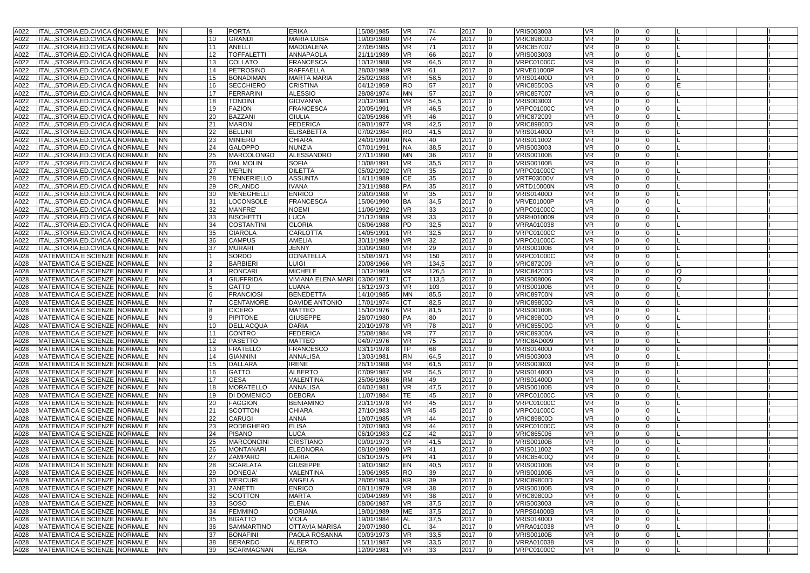| A022 | ITAL., STORIA, ED. CIVICA, CNORMALE                                    | <b>NN</b>              |                   | <b>PORTA</b>                        | <b>ERIKA</b>                   | 15/08/1985               | VR.             | 74                      | 2017<br>$\Omega$                                 | VRIS003003                      | <b>VR</b>       |          |   |  |
|------|------------------------------------------------------------------------|------------------------|-------------------|-------------------------------------|--------------------------------|--------------------------|-----------------|-------------------------|--------------------------------------------------|---------------------------------|-----------------|----------|---|--|
|      |                                                                        |                        |                   |                                     |                                |                          |                 |                         |                                                  |                                 |                 |          |   |  |
| A022 | ITAL., STORIA, ED. CIVICA, CNORMALE                                    | NN                     | 10 <sup>10</sup>  | <b>GRANDI</b>                       | <b>MARIA LUISA</b>             | 19/03/1980               | <b>VR</b>       | 74                      | 2017<br>$\Omega$                                 | <b>VRIC89800D</b>               | <b>VR</b>       |          |   |  |
| A022 | ITAL., STORIA, ED. CIVICA, CNORMALE                                    | ΝN                     | 11                | ANELLI                              | MADDALENA                      | 27/05/1985               | VR.             | 71                      | 2017<br><b>0</b>                                 | <b>VRIC857007</b>               | VR              | $\Omega$ |   |  |
| A022 | ITAL., STORIA, ED. CIVICA, CNORMALE                                    | ΝN                     | 12 <sup>2</sup>   | <b>TOFFALETTI</b>                   | <b>ANNAPAOLA</b>               | 21/11/1989               | <b>VR</b>       | 66                      | 2017<br>١O                                       | VRIS003003                      | VR              |          |   |  |
| A022 | ITAL., STORIA, ED. CIVICA, CNORMALE                                    | NN.                    | 13                | COLLATO                             | <b>FRANCESCA</b>               | 10/12/1988               | <b>VR</b>       | 64,5                    | 2017<br>$\Omega$                                 | <b>VRPC01000C</b>               | <b>VR</b>       |          |   |  |
|      |                                                                        |                        |                   |                                     |                                |                          |                 |                         |                                                  |                                 |                 |          |   |  |
| A022 | ITAL., STORIA, ED. CIVICA, CNORMALE                                    | ΝN                     | 14                | <b>PETROSINO</b>                    | RAFFAELLA                      | 28/03/1989               | VR              | 61                      | 2017<br><b>0</b>                                 | <b>VRVE01000P</b>               | VR              | $\Omega$ |   |  |
| A022 | ITALSTORIA.ED.CIVICA.GNORMALE                                          | NN                     | 15                | <b>BONADIMAN</b>                    | <b>MARTA MARIA</b>             | 25/02/1988               | <b>VR</b>       | 58,5                    | 2017                                             | <b>VRIS01400D</b>               | VR              |          |   |  |
| A022 | ITAL., STORIA, ED. CIVICA, CNORMALE                                    | NN                     | 16                | <b>SECCHIERO</b>                    | <b>CRISTINA</b>                | 04/12/1959               | <b>RO</b>       | 57                      | 2017<br>$\Omega$                                 | <b>VRIC85500G</b>               | <b>VR</b>       |          |   |  |
| A022 | ITAL., STORIA, ED. CIVICA, CNORMALE                                    | ΝN                     | 17                | <b>FERRARINI</b>                    | <b>ALESSIO</b>                 | 28/08/1974               | <b>MN</b>       | 57                      | 2017<br><b>0</b>                                 | <b>VRIC857007</b>               | VR              | $\Omega$ |   |  |
|      |                                                                        |                        |                   |                                     |                                |                          |                 |                         |                                                  |                                 |                 |          |   |  |
| A022 | ITAL., STORIA, ED. CIVICA, CNORMALE                                    | NN                     | 18                | <b>TONDINI</b>                      | <b>GIOVANNA</b>                | 20/12/1981               | <b>VR</b>       | 54,5                    | 2017<br>$\Omega$                                 | VRIS003003                      | VR              |          |   |  |
| A022 | ITAL., STORIA, ED. CIVICA, CNORMALE                                    | ΝN                     | 19                | <b>FAZION</b>                       | <b>FRANCESCA</b>               | 20/05/1991               | <b>VR</b>       | 46,5                    | 2017<br>$\Omega$                                 | <b>VRPC01000C</b>               | <b>VR</b>       |          |   |  |
| A022 | ITAL., STORIA, ED. CIVICA, CNORMALE                                    | NN                     | 20                | <b>BAZZANI</b>                      | <b>GIULIA</b>                  | 02/05/1986               | <b>VR</b>       | 46                      | 2017<br>$\Omega$                                 | <b>VRIC872009</b>               | <b>VR</b>       |          |   |  |
|      |                                                                        |                        |                   |                                     |                                |                          |                 |                         |                                                  |                                 |                 |          |   |  |
| A022 | ITAL., STORIA, ED. CIVICA, GNORMALE                                    | NN                     | 21                | <b>MARON</b>                        | <b>FEDERICA</b>                | 09/01/1977               | <b>VR</b>       | 42,5                    | 2017<br>١O                                       | <b>VRIC89800D</b>               | VR              |          |   |  |
| A022 | ITAL., STORIA, ED. CIVICA, GNORMALE                                    | ΝN                     | 22                | <b>BELLINI</b>                      | <b>ELISABETTA</b>              | 07/02/1984               | <b>RO</b>       | 41,5                    | 2017                                             | <b>VRIS01400D</b>               | <b>VR</b>       |          |   |  |
| A022 | ITAL., STORIA, ED. CIVICA, CNORMALE                                    | ΝN                     | 23                | <b>MINIERO</b>                      | <b>CHIARA</b>                  | 24/01/1990               | <b>NA</b>       | 40                      | 2017<br>$\Omega$                                 | VRIS011002                      | <b>VR</b>       |          |   |  |
| A022 | ITAL., STORIA, ED. CIVICA, CNORMALE                                    | NN                     | 24                | <b>GALOPPO</b>                      | <b>NUNZIA</b>                  | 07/01/1991               | <b>NA</b>       | 38,5                    | 2017<br><b>0</b>                                 | VRIS003003                      | VR              | $\Omega$ |   |  |
|      |                                                                        |                        |                   |                                     |                                |                          |                 |                         |                                                  |                                 |                 |          |   |  |
| A022 | ITAL., STORIA, ED. CIVICA, CNORMALE                                    | ΝN                     | 25                | <b>MARCOLONGO</b>                   | <b>ALESSANDRO</b>              | 27/11/1990               | MN              | 36                      | 2017                                             | <b>VRIS00100B</b>               | VR              |          |   |  |
| A022 | ITALSTORIA.ED.CIVICA.GNORMALE                                          | NN                     | 26                | <b>DAL MOLIN</b>                    | <b>SOFIA</b>                   | 10/08/1991               | <b>VR</b>       | 35,5                    | 2017                                             | <b>VRIS00100B</b>               | <b>VR</b>       |          |   |  |
| A022 | ITAL., STORIA, ED. CIVICA, GNORMALE                                    | NN                     | 27                | <b>MERLIN</b>                       | <b>DILETTA</b>                 | 05/02/1992               | <b>VR</b>       | 35                      | 2017<br>$\overline{0}$                           | <b>VRPC01000C</b>               | VR              | $\Omega$ |   |  |
| A022 | ITAL., STORIA, ED. CIVICA, CNORMALE                                    | ΝN                     | 28                | <b>TENNERIELLO</b>                  | <b>ASSUNTA</b>                 | 14/11/1989               | CE              | 35                      | 2017<br>$\Omega$                                 | <b>VRTF03000V</b>               | VR              |          |   |  |
|      |                                                                        |                        |                   |                                     |                                |                          |                 |                         |                                                  |                                 |                 |          |   |  |
| A022 | ITAL., STORIA, ED. CIVICA, CNORMALE                                    | NN                     | 29                | <b>ORLANDO</b>                      | <b>IVANA</b>                   | 23/11/1988               | PA              | 35                      | 2017<br>$\Omega$                                 | <b>VRTD10000N</b>               | <b>VR</b>       |          |   |  |
| A022 | ITAL., STORIA, ED. CIVICA, GNORMALE                                    | ΝN                     | 30                | <b>MENEGHELLI</b>                   | <b>ENRICO</b>                  | 29/03/1988               | VI              | 35                      | 2017<br>$\overline{0}$                           | <b>VRIS01400D</b>               | VR              | <b>O</b> |   |  |
| A022 | ITAL., STORIA, ED. CIVICA, CNORMALE                                    | ΝN                     | 31                | LOCONSOLE                           | <b>FRANCESCA</b>               | 15/06/1990               | <b>BA</b>       | 34,5                    | 2017<br>$\Omega$                                 | <b>VRVE01000P</b>               | VR              |          |   |  |
| A022 | ITAL., STORIA, ED. CIVICA, CNORMALE                                    | ΝN                     | 32                | <b>MANFRE'</b>                      | <b>NOEMI</b>                   | 11/06/1992               | <b>VR</b>       | 33                      | 2017<br>0                                        | <b>VRPC01000C</b>               | <b>VR</b>       |          |   |  |
|      |                                                                        |                        |                   |                                     |                                |                          |                 |                         |                                                  |                                 |                 |          |   |  |
| A022 | ITAL., STORIA, ED. CIVICA, CNORMALE                                    | NN                     | 33                | <b>BISCHETTI</b>                    | <b>LUCA</b>                    | 21/12/1989               | <b>VR</b>       | 33                      | 2017<br>$\Omega$                                 | VRRH010009                      | <b>VR</b>       | $\Omega$ |   |  |
| A022 | ITAL., STORIA, ED. CIVICA, CNORMALE                                    | ΝN                     | 34                | <b>COSTANTINI</b>                   | <b>GLORIA</b>                  | 06/06/1988               | PD              | 32,5                    | 2017<br>$\Omega$                                 | VRRA010038                      | VR              |          |   |  |
| A022 | ITAL., STORIA, ED. CIVICA, CNORMALE                                    | NN.                    | 35                | <b>GIAROLA</b>                      | CARLOTTA                       | 14/05/1991               | <b>VR</b>       | 32,5                    | 2017                                             | <b>VRPC01000C</b>               | <b>VR</b>       |          |   |  |
|      |                                                                        |                        |                   |                                     |                                | 30/11/1989               |                 |                         | $\Omega$                                         |                                 |                 | $\Omega$ |   |  |
| A022 | ITAL., STORIA, ED. CIVICA, CNORMALE                                    | NN                     | 36                | <b>CAMPUS</b>                       | AMELIA                         |                          | <b>VR</b>       | 32                      | 2017                                             | <b>VRPC01000C</b>               | <b>VR</b>       |          |   |  |
| A022 | ITALSTORIA.ED.CIVICA.GNORMALE                                          | NN                     | 37                | <b>MURARI</b>                       | <b>JENNY</b>                   | 30/09/1980               | <b>VR</b>       | 29                      | 2017                                             | <b>VRIS00100B</b>               | VR              |          |   |  |
| A028 | MATEMATICA E SCIENZE NORMALE                                           | ΝN                     |                   | SORDO                               | <b>DONATELLA</b>               | 15/08/1971               | <b>VR</b>       | 150                     | 2017                                             | <b>VRPC01000C</b>               | VR.             |          |   |  |
| A028 | MATEMATICA E SCIENZE NORMALE                                           | ΝN                     |                   | <b>BARBIERI</b>                     | LUIGI                          | 20/08/1966               | <b>VR</b>       | 134,5                   | 2017<br><b>0</b>                                 | <b>VRIC872009</b>               | VR              | $\Omega$ |   |  |
|      |                                                                        |                        |                   |                                     |                                |                          |                 |                         |                                                  |                                 |                 |          |   |  |
| A028 | <b>MATEMATICA E SCIENZE NORMALE</b>                                    | <b>NN</b>              | 3                 | <b>RONCARI</b>                      | <b>MICHELE</b>                 | 10/12/1969               | <b>VR</b>       | 126,5                   | 2017<br>$\Omega$                                 | <b>VRIC84200D</b>               | VR              |          | Q |  |
| A028 | MATEMATICA E SCIENZE NORMALE                                           | ΝN                     |                   | <b>GIUFFRIDA</b>                    | VIVIANA ELENA MARI             | 03/06/1971               | СT              | 113,5                   | 2017<br>$\Omega$                                 | <b>VRIS008006</b>               | VR              |          | Q |  |
| A028 | MATEMATICA E SCIENZE NORMALE                                           | NN                     |                   | <b>GATTO</b>                        | LUANA                          | 16/12/1973               | <b>VR</b>       | 103                     | 2017<br>$\Omega$                                 | <b>VRIS00100B</b>               | <b>VR</b>       |          |   |  |
| A028 | MATEMATICA E SCIENZE NORMALE                                           | <b>NN</b>              |                   | <b>FRANCIOSI</b>                    | <b>BENEDETTA</b>               | 14/10/1985               | <b>MN</b>       | 85,5                    | 2017<br>$\Omega$                                 | <b>VRIC89700N</b>               | VR              |          |   |  |
|      |                                                                        |                        |                   |                                     |                                |                          |                 |                         |                                                  |                                 |                 |          |   |  |
| A028 | MATEMATICA E SCIENZE NORMALE                                           | ΝN                     |                   | <b>CENTAMORE</b>                    | DAVIDE ANTONIO                 | 17/01/1974               | IСТ             | 82,5                    | 2017                                             | <b>VRIC89800D</b>               | VR              |          |   |  |
| A028 | MATEMATICA E SCIENZE NORMALE                                           | NN                     |                   | <b>CICERO</b>                       | <b>MATTEO</b>                  | 15/10/1976               | <b>VR</b>       | 81,5                    | 2017<br>$\Omega$                                 | <b>VRIS00100B</b>               | <b>VR</b>       | $\Omega$ |   |  |
| A028 | <b>MATEMATICA E SCIENZE NORMALE</b>                                    | NN                     | 9                 | <b>PIPITONE</b>                     | <b>GIUSEPPE</b>                | 28/07/1980               | PA              | 80                      | 2017<br>$\Omega$                                 | <b>VRIC89800D</b>               | <b>VR</b>       | $\Omega$ |   |  |
| A028 |                                                                        |                        | 10                | <b>DELL'ACQUA</b>                   | <b>DARIA</b>                   | 20/10/1978               |                 | 78                      | 2017<br>n                                        |                                 | VR              |          |   |  |
|      | MATEMATICA E SCIENZE NORMALE                                           | ΝN                     |                   |                                     |                                |                          | VR              |                         |                                                  | <b>VRIC85500G</b>               |                 |          |   |  |
| A028 | MATEMATICA E SCIENZE NORMALE                                           | NN                     | 11                | <b>CONTRO</b>                       | <b>FEDERICA</b>                | 25/08/1984               | <b>VR</b>       | 77                      | 2017<br>$\Omega$                                 | <b>VRIC89300A</b>               | <b>VR</b>       |          |   |  |
| A028 | MATEMATICA E SCIENZE NORMALE                                           | ΝN                     | $12 \overline{ }$ | <b>PASETTO</b>                      | <b>MATTEO</b>                  | 04/07/1976               | <b>VR</b>       | 75                      | 2017<br><b>O</b>                                 | VRIC8AD009                      | VR              | $\Omega$ |   |  |
| A028 | MATEMATICA E SCIENZE NORMALE                                           | ΝN                     | 13                | <b>FRATELLO</b>                     | <b>FRANCESCO</b>               | 03/11/1978               | TP              | 68                      | 2017<br>$\Omega$                                 | <b>VRIS01400D</b>               | VR              | n        |   |  |
| A028 | MATEMATICA E SCIENZE NORMALE                                           | NN                     | 14                | <b>GIANNINI</b>                     | ANNALISA                       | 13/03/1981               | <b>RN</b>       | 64,5                    | 2017<br>$\Omega$                                 | VRIS003003                      | <b>VR</b>       |          |   |  |
|      |                                                                        |                        |                   |                                     |                                |                          |                 |                         |                                                  |                                 |                 |          |   |  |
| A028 | MATEMATICA E SCIENZE NORMALE                                           | ΝN                     | 15                | <b>DALLARA</b>                      | <b>IRENE</b>                   | 26/11/1988               | <b>VR</b>       | 61,5                    | 2017<br>$\overline{0}$                           | VRIS003003                      | VR.             | <b>0</b> |   |  |
| A028 | MATEMATICA E SCIENZE NORMALE                                           | ΝN                     | 16                | <b>GATTO</b>                        | <b>ALBERTO</b>                 | 07/09/1987               | <b>VR</b>       | 54,5                    | 2017<br>l <sub>0</sub>                           | <b>VRIS01400D</b>               | VR              |          |   |  |
| A028 | MATEMATICA E SCIENZE NORMALE                                           | NN                     | 17                | <b>GESA</b>                         | VALENTINA                      | 25/06/1986               | <b>RM</b>       | 49                      | 2017<br>$\Omega$                                 | <b>VRIS01400D</b>               | <b>VR</b>       |          |   |  |
|      |                                                                        |                        |                   |                                     |                                |                          |                 |                         |                                                  |                                 |                 | $\Omega$ |   |  |
| A028 | MATEMATICA E SCIENZE NORMALE                                           | ΝN                     | 18                | <b>MORATELLO</b>                    | ANNALISA                       | 04/02/1981               | <b>VR</b>       | 47,5                    | 2017<br>$\Omega$                                 | <b>VRIS00100B</b>               | VR              |          |   |  |
| A028 | MATEMATICA E SCIENZE NORMALE                                           | ΝN                     | 19                | DI DOMENICO                         | <b>DEBORA</b>                  | 11/07/1984               | TE              | 45                      | 2017<br>$\Omega$                                 | <b>VRPC01000C</b>               | VR              |          |   |  |
| A028 | <b>MATEMATICA E SCIENZE NORMALE</b>                                    | NN.                    | 20                | <b>FAGGION</b>                      | <b>BENIAMINO</b>               | 20/11/1978               | <b>VR</b>       | 45                      | 2017<br>$\Omega$                                 | <b>VRPC01000C</b>               | <b>VR</b>       |          |   |  |
| A028 | MATEMATICA E SCIENZE NORMALE                                           | <b>NN</b>              | 21                | <b>SCOTTON</b>                      | <b>CHIARA</b>                  | 27/10/1983               | <b>VR</b>       | 45                      | 2017<br>$\Omega$                                 | <b>VRPC01000C</b>               | VR              | $\Omega$ |   |  |
|      |                                                                        |                        |                   |                                     |                                |                          |                 |                         |                                                  |                                 |                 |          |   |  |
| A028 | <b>MATEMATICA E SCIENZE NORMALE</b>                                    | NN                     | 22                | <b>CARUGI</b>                       | ANNA                           | 19/07/1985               | <b>VR</b>       | 44                      | 2017<br>n                                        | <b>VRIC89800D</b>               | <b>VR</b>       |          |   |  |
| A028 | MATEMATICA E SCIENZE NORMALE                                           | NN                     | 23                | <b>RODEGHERO</b>                    | <b>ELISA</b>                   | 12/02/1983               | <b>VR</b>       | 44                      | 2017<br>$\Omega$                                 | <b>VRPC01000C</b>               | <b>VR</b>       |          |   |  |
| A028 | MATEMATICA E SCIENZE NORMALE                                           | ΝN                     | 24                | <b>PISANO</b>                       | <b>LUCA</b>                    | 06/10/1983               | CZ              | 42                      | 2017<br>$\Omega$                                 | <b>VRIC865006</b>               | <b>VR</b>       |          |   |  |
| A028 | MATEMATICA E SCIENZE NORMALE                                           | <b>NN</b>              | 25                | <b>MARCONCINI</b>                   | <b>CRISTIANO</b>               | 09/01/1973               | <b>VR</b>       | 41,5                    | 2017<br>١O                                       | <b>VRIS00100B</b>               | VR              | O        |   |  |
|      |                                                                        |                        |                   |                                     |                                |                          |                 |                         |                                                  |                                 |                 |          |   |  |
| A028 | MATEMATICA E SCIENZE NORMALE                                           | <b>NN</b>              | 26                | <b>MONTANARI</b>                    | <b>ELEONORA</b>                | 08/10/1990               | <b>VR</b>       | 41                      | $\overline{0}$<br>2017                           | VRIS011002                      | VR.             |          |   |  |
|      | A028 MATEMATICA E SCIENZE NORMALE                                      | <b>NN</b>              | 27                | ZAMPARO                             | <b>ILARIA</b>                  | 06/10/1975               | PN              | 41                      | 2017<br>In.                                      | <b>VRIC85400Q</b>               | <b>VR</b>       |          |   |  |
|      | A028 MATEMATICA E SCIENZE NORMALE NN                                   |                        | 28                | <b>SCARLATA</b>                     | <b>GIUSEPPE</b>                | 19/03/1982               | EN              | 40,5                    | 2017<br>$\overline{0}$                           | <b>VRIS00100B</b>               | VR.             | <b>O</b> |   |  |
|      | A028 MATEMATICA E SCIENZE NORMALE                                      | <b>NN</b>              | 29                | DONEGA'                             | VALENTINA                      | 19/06/1985               | <b>RO</b>       | 39                      | 2017<br>$\Omega$                                 | <b>VRIS00100B</b>               | <b>VR</b>       |          |   |  |
|      |                                                                        |                        |                   |                                     |                                |                          |                 |                         |                                                  |                                 |                 |          |   |  |
|      | A028 MATEMATICA E SCIENZE NORMALE                                      | <b>NN</b>              | 30                | <b>MERCURI</b>                      | ANGELA                         | 28/05/1983               | KR              | 39                      | 2017<br>0                                        | <b>VRIC89800D</b>               | <b>VR</b>       | $\Omega$ |   |  |
|      | A028 MATEMATICA E SCIENZE NORMALE                                      | <b>NN</b>              | 31                | ZANETTI                             | <b>ENRICO</b>                  | 08/11/1979               | <b>VR</b>       | 38                      | 2017<br>$\overline{0}$                           | <b>VRIS00100B</b>               | <b>VR</b>       | <b>0</b> |   |  |
|      | A028 MATEMATICA E SCIENZE NORMALE                                      | <b>NN</b>              | 32                | <b>SCOTTON</b>                      | MARTA                          | 09/04/1989               | <b>VR</b>       | 38                      | 2017<br>$\Omega$                                 | <b>VRIC89800D</b>               | <b>VR</b>       |          |   |  |
|      | A028 MATEMATICA E SCIENZE NORMALE                                      | <b>NN</b>              | 33                |                                     | <b>ELENA</b>                   | 08/06/1987               | <b>VR</b>       | 37,5                    | 2017<br>$\Omega$                                 | VRIS003003                      | <b>VR</b>       |          |   |  |
|      |                                                                        |                        |                   | SOSO                                |                                |                          |                 |                         |                                                  |                                 |                 |          |   |  |
|      | A028 MATEMATICA E SCIENZE NORMALE                                      | <b>NN</b>              | 34                | <b>FEMMINO</b>                      | <b>DORIANA</b>                 | 19/01/1989               | ME              | 37,5                    | 2017<br>$\overline{0}$                           | <b>VRPS04000B</b>               | VR              | <b>O</b> |   |  |
|      | A028 MATEMATICA E SCIENZE NORMALE                                      | <b>NN</b>              | 35                | <b>BIGATTO</b>                      | <b>VIOLA</b>                   | 19/01/1984               | AL              | 37,5                    | 2017<br>$\Omega$                                 | <b>VRIS01400D</b>               | <b>VR</b>       |          |   |  |
|      | A028 MATEMATICA E SCIENZE NORMALE                                      | <b>NN</b>              | 36                | <b>SAMMARTINO</b>                   | <b>OTTAVIA MARISA</b>          | 29/07/1980               | <b>ICL</b>      | 34                      | 2017<br>0                                        | VRRA010038                      | <b>VR</b>       |          |   |  |
|      | A028 MATEMATICA E SCIENZE NORMALE                                      | <b>NN</b>              | 37                | <b>BONAFINI</b>                     | PAOLA ROSANNA                  | 09/03/1973               | <b>VR</b>       |                         | 0                                                | <b>VRIS00100B</b>               | VR              | <b>O</b> |   |  |
|      |                                                                        |                        |                   |                                     |                                |                          |                 | 33,5                    | 2017                                             |                                 |                 |          |   |  |
|      |                                                                        |                        |                   |                                     |                                |                          |                 |                         |                                                  |                                 |                 |          |   |  |
|      | A028 MATEMATICA E SCIENZE NORMALE<br>A028 MATEMATICA E SCIENZE NORMALE | <b>NN</b><br><b>NN</b> | 38<br>39          | <b>BERARDO</b><br><b>SCARMAGNAN</b> | <b>ALBERTO</b><br><b>ELISA</b> | 15/11/1987<br>12/09/1981 | <b>VR</b><br>VR | 33,5<br>33 <sup>°</sup> | $\overline{0}$<br>2017<br>2017<br>$\overline{0}$ | VRRA010038<br><b>VRPC01000C</b> | VR<br><b>VR</b> |          |   |  |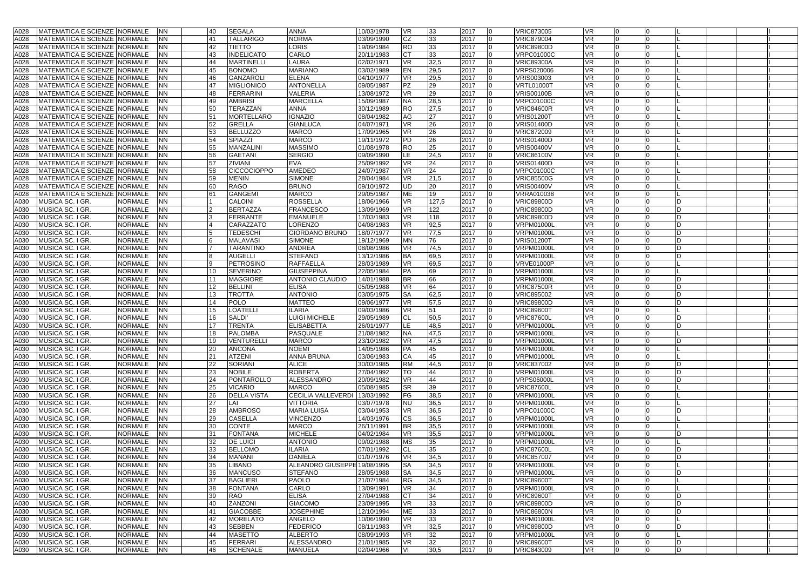| A028 | MATEMATICA E SCIENZE NORMALE   |                | <b>INN</b> | 40 | <b>SEGALA</b>      | <b>ANNA</b>                  | 10/03/1978 | <b>VR</b>  | 33    | 2017 |                | <b>VRIC873005</b> | <b>VR</b> |    |                |     |  |  |
|------|--------------------------------|----------------|------------|----|--------------------|------------------------------|------------|------------|-------|------|----------------|-------------------|-----------|----|----------------|-----|--|--|
| A028 | MATEMATICA E SCIENZE  NORMALE  |                | <b>NN</b>  | 41 | TALLARIGO          | <b>NORMA</b>                 | 03/09/1990 | CZ         | 33    | 2017 |                | <b>VRIC879004</b> | VR        |    |                |     |  |  |
|      |                                |                |            |    |                    |                              |            |            |       |      |                |                   |           |    |                |     |  |  |
| A028 | MATEMATICA E SCIENZE NORMALE   |                | <b>NN</b>  | 42 | <b>TIETTO</b>      | <b>ORIS</b>                  | 19/09/1984 | <b>RO</b>  | 33    | 2017 |                | <b>VRIC89800D</b> | <b>VR</b> |    |                |     |  |  |
| A028 | MATEMATICA E SCIENZE NORMALE   |                | <b>NN</b>  | 43 | <b>INDELICATO</b>  | CARLO                        | 20/11/1983 | <b>CT</b>  | 33    | 2017 | 0              | <b>VRPC01000C</b> | VR        |    | $\Omega$       |     |  |  |
| A028 | MATEMATICA E SCIENZE NORMALE   |                | <b>NN</b>  | 44 | <b>MARTINELLI</b>  | LAURA                        | 02/02/1971 | <b>VR</b>  | 32,5  | 2017 |                | <b>VRIC89300A</b> | VR        |    |                |     |  |  |
| A028 | MATEMATICA E SCIENZE NORMALE   |                | <b>NN</b>  | 45 | <b>BONOMO</b>      | <b>MARIANO</b>               | 03/02/1989 | EN         | 29,5  | 2017 |                | <b>VRPS020006</b> | VR        |    |                |     |  |  |
| A028 | MATEMATICA E SCIENZE NORMALE   |                | <b>NN</b>  | 46 | <b>GANZAROL</b>    | <b>ELENA</b>                 | 04/10/1977 | <b>VR</b>  | 29,5  | 2017 | 0              | VRIS003003        | VR        |    | $\Omega$       |     |  |  |
| A028 | MATEMATICA E SCIENZE NORMALE   |                | <b>NN</b>  | 47 | <b>MIGLIONICO</b>  | <b>ANTONELLA</b>             | 09/05/1987 | <b>PZ</b>  | 29    | 2017 | 0              | <b>VRTL01000T</b> | VR        |    |                |     |  |  |
| A028 | MATEMATICA E SCIENZE NORMALE   |                | <b>NN</b>  | 48 | <b>FERRARINI</b>   | VALERIA                      | 13/08/1972 | <b>VR</b>  | 29    | 2017 | 0              | <b>VRIS00100B</b> | VR        |    |                |     |  |  |
| A028 | MATEMATICA E SCIENZE NORMALE   |                | <b>NN</b>  | 49 | <b>AMBRISI</b>     | MARCELLA                     | 15/09/1987 | <b>NA</b>  | 28,5  | 2017 | O              | <b>VRPC01000C</b> | <b>VR</b> |    | $\Omega$       |     |  |  |
| A028 | MATEMATICA E SCIENZE NORMALE   |                | <b>NN</b>  | 50 | TERAZZAN           | ANNA                         | 30/12/1989 | <b>RO</b>  | 27,5  | 2017 |                | <b>VRIC84600R</b> | VR        |    |                |     |  |  |
| A028 | MATEMATICA E SCIENZE NORMALE   |                | <b>NN</b>  | 51 | <b>MORTELLARO</b>  | <b>GNAZIO</b>                | 08/04/1982 | AG         | 27    | 2017 |                | <b>VRIS01200T</b> | VR.       |    |                |     |  |  |
| A028 | MATEMATICA E SCIENZE NORMALE   |                | <b>NN</b>  | 52 | <b>GRELLA</b>      | <b>GIANLUCA</b>              | 04/07/1971 | <b>VR</b>  | 26    | 2017 | O              | <b>VRIS01400D</b> | <b>VR</b> |    | $\Omega$       |     |  |  |
|      |                                |                |            |    |                    |                              |            |            |       |      |                |                   |           |    |                |     |  |  |
| A028 | MATEMATICA E SCIENZE NORMALE   |                | <b>NN</b>  | 53 | <b>BELLUZZO</b>    | <b>MARCO</b>                 | 17/09/1965 | <b>VR</b>  | 26    | 2017 |                | <b>VRIC872009</b> | VR        |    |                |     |  |  |
| A028 | MATEMATICA E SCIENZE   NORMALE |                | <b>NN</b>  | 54 | SPIAZZI            | MARCO                        | 19/11/1972 | PD         | 26    | 2017 |                | <b>VRIS01400D</b> | VR.       |    |                |     |  |  |
| A028 | MATEMATICA E SCIENZE NORMALE   |                | <b>NN</b>  | 55 | MANZALINI          | <b>MASSIMO</b>               | 01/08/1978 | <b>RO</b>  | 25    | 2017 | $\Omega$       | <b>VRIS00400V</b> | <b>VR</b> |    | $\Omega$       |     |  |  |
| A028 | MATEMATICA E SCIENZE NORMALE   |                | <b>NN</b>  | 56 | <b>GAETANI</b>     | <b>SERGIO</b>                | 09/09/1990 | <b>ILE</b> | 24,5  | 2017 | 0              | <b>VRIC86100V</b> | VR        |    |                |     |  |  |
| A028 | MATEMATICA E SCIENZE NORMALE   |                | <b>NN</b>  | 57 | ZIVIANI            | EVA                          | 25/09/1992 | <b>VR</b>  | 24    | 2017 |                | <b>VRIS01400D</b> | VR        |    |                |     |  |  |
| A028 | MATEMATICA E SCIENZE NORMALE   |                | <b>NN</b>  | 58 | <b>CICCOCIOPPO</b> | AMEDEO                       | 24/07/1987 | <b>VR</b>  | 24    | 2017 | 0              | <b>VRPC01000C</b> | <b>VR</b> |    | $\Omega$       |     |  |  |
| A028 | MATEMATICA E SCIENZE NORMALE   |                | <b>NN</b>  | 59 | <b>MENIN</b>       | <b>SIMONE</b>                | 28/04/1984 | <b>VR</b>  | 21,5  | 2017 | 0              | <b>VRIC85500G</b> | VR        |    |                |     |  |  |
| A028 | MATEMATICA E SCIENZE NORMALE   |                | <b>NN</b>  | 60 | <b>RAGO</b>        | <b>BRUNO</b>                 | 09/10/1972 | <b>UD</b>  | 20    | 2017 |                | <b>VRIS00400V</b> | VR        |    |                |     |  |  |
| A028 | MATEMATICA E SCIENZE NORMALE   |                | <b>NN</b>  | 61 | <b>GANGEMI</b>     | <b>MARCO</b>                 | 29/05/1987 | ME         | 19    | 2017 | O              | VRRA010038        | VR        |    |                |     |  |  |
| A030 | MUSICA SC. I GR.               | <b>NORMALE</b> | <b>NN</b>  |    | <b>CALOINI</b>     | <b>ROSSELLA</b>              | 18/06/1966 | <b>VR</b>  | 127,5 | 2017 | 0              | <b>VRIC89800D</b> | VR        |    |                |     |  |  |
| A030 | MUSICA SC. I GR.               | <b>NORMALE</b> | <b>NN</b>  |    | <b>BERTAZZA</b>    | FRANCESCO                    | 13/09/1969 | <b>VR</b>  | 122   | 2017 |                | <b>VRIC89800D</b> | VR        |    |                |     |  |  |
| A030 | MUSICA SC. I GR.               | <b>NORMALE</b> | <b>NN</b>  |    | <b>FERRANTE</b>    | <b>EMANUELE</b>              | 17/03/1983 | <b>VR</b>  | 118   | 2017 |                | <b>VRIC89800D</b> | <b>VR</b> |    |                |     |  |  |
|      |                                |                |            |    |                    |                              |            |            |       |      | 0              |                   |           |    |                |     |  |  |
| A030 | MUSICA SC. I GR.               | <b>NORMALE</b> | <b>NN</b>  |    | CARAZZATO          | LORENZO                      | 04/08/1983 | <b>VR</b>  | 92,5  | 2017 |                | <b>VRPM01000L</b> | VR        |    |                | D   |  |  |
| A030 | MUSICA SC. I GR                | <b>NORMALE</b> | <b>NN</b>  |    | <b>TEDESCHI</b>    | GIORDANO BRUNO               | 18/07/1977 | <b>VR</b>  | 77,5  | 2017 | n              | <b>VRPM01000L</b> | VR        |    |                |     |  |  |
| A030 | MUSICA SC. I GR.               | <b>NORMALE</b> | <b>NN</b>  |    | <b>MALAVASI</b>    | <b>SIMONE</b>                | 19/12/1969 | <b>MN</b>  | 76    | 2017 |                | <b>VRIS01200T</b> | <b>VR</b> |    |                |     |  |  |
| A030 | MUSICA SC. I GR                | <b>NORMALE</b> | <b>NN</b>  |    | <b>TARANTINO</b>   | ANDREA                       | 08/08/1986 | <b>VR</b>  | 74,5  | 2017 | 0              | <b>VRPM01000L</b> | <b>VR</b> |    | <b>0</b>       | D   |  |  |
| A030 | MUSICA SC. I GR                | <b>NORMALE</b> | <b>NN</b>  |    | <b>AUGELLI</b>     | <b>STEFANO</b>               | 13/12/1986 | <b>BA</b>  | 69,5  | 2017 | 0              | <b>VRPM01000L</b> | VR        |    |                |     |  |  |
| A030 | MUSICA SC. I GR.               | <b>NORMALE</b> | <b>NN</b>  |    | PETROSINO          | RAFFAELLA                    | 28/03/1989 | <b>VR</b>  | 69,5  | 2017 | 0              | <b>VRVE01000P</b> | <b>VR</b> |    |                |     |  |  |
| A030 | MUSICA SC. I GR                | <b>NORMALE</b> | <b>NN</b>  | 10 | <b>SEVERINO</b>    | GIUSEPPINA                   | 22/05/1984 | <b>PA</b>  | 69    | 2017 | $\Omega$       | <b>VRPM01000L</b> | VR        |    | <b>0</b>       |     |  |  |
| A030 | MUSICA SC. I GR                | <b>NORMALE</b> | <b>NN</b>  | 11 | <b>MAGGIORE</b>    | ANTONIO CLAUDIO              | 14/01/1988 | <b>BR</b>  | 66    | 2017 |                | VRPM01000L        | VR        |    |                |     |  |  |
| A030 | MUSICA SC. I GR.               | <b>NORMALE</b> | <b>NN</b>  | 12 | <b>BELLINI</b>     | <b>ELISA</b>                 | 05/05/1988 | <b>VR</b>  | 64    | 2017 |                | <b>VRIC87500R</b> | <b>VR</b> |    |                |     |  |  |
| A030 | MUSICA SC. I GR.               | <b>NORMALE</b> | <b>NN</b>  | 13 | <b>TROTTA</b>      | ANTONIO                      | 03/05/1975 | <b>SA</b>  | 62,5  | 2017 | 0              | <b>VRIC895002</b> | VR        |    | <b>0</b>       | D.  |  |  |
| A030 | MUSICA SC. I GR.               | <b>NORMALE</b> | <b>NN</b>  | 14 | <b>POLO</b>        | MATTEO                       | 09/06/1977 | <b>VR</b>  | 57,5  | 2017 |                | <b>VRIC89800D</b> | VR        |    |                |     |  |  |
| A030 | MUSICA SC. I GR.               | <b>NORMALE</b> | <b>NN</b>  | 15 | LOATELLI           | LARIA                        | 09/03/1986 | <b>VR</b>  | 51    | 2017 |                | <b>VRIC89600T</b> | VR        |    |                |     |  |  |
| A030 | MUSICA SC. I GR                | <b>NORMALE</b> | <b>NN</b>  | 16 | <b>SALDI</b>       | LUIGI MICHELE                | 29/05/1989 | <b>CL</b>  | 50,5  | 2017 | 0              | <b>VRIC87600L</b> | <b>VR</b> |    | $\Omega$       | ID. |  |  |
| A030 | MUSICA SC. I GR                | <b>NORMALE</b> | <b>NN</b>  | 17 | <b>TRENTA</b>      | <b>ELISABETTA</b>            | 26/01/1977 | <b>ILE</b> | 48,5  | 2017 | 0              | VRPM01000L        | VR        |    |                |     |  |  |
|      |                                |                |            |    |                    |                              |            |            |       |      |                |                   |           |    |                |     |  |  |
| A030 | MUSICA SC. I GR                | <b>NORMALE</b> | <b>NN</b>  | 18 | <b>PALOMBA</b>     | PASQUALE                     | 21/08/1982 | <b>NA</b>  | 47,5  | 2017 | O              | VRPM01000L        | <b>VR</b> |    |                |     |  |  |
| A030 | MUSICA SC. I GR                | <b>NORMALE</b> | <b>NN</b>  | 19 | VENTURELLI         | <b>MARCO</b>                 | 23/10/1982 | <b>VR</b>  | 47,5  | 2017 | O              | <b>VRPM01000L</b> | <b>VR</b> |    |                |     |  |  |
| A030 | MUSICA SC. I GR                | <b>NORMALE</b> | <b>NN</b>  | 20 | <b>ANCONA</b>      | NOEMI                        | 14/05/1986 | <b>PA</b>  | 45    | 2017 | 0              | <b>VRPM01000L</b> | VR        |    | 0              |     |  |  |
| A030 | MUSICA SC. I GR.               | <b>NORMALE</b> | <b>NN</b>  | 21 | <b>ATZENI</b>      | ANNA BRUNA                   | 03/06/1983 | CA         | 45    | 2017 | n              | VRPM01000L        | VR        |    |                |     |  |  |
| A030 | MUSICA SC. I GR                | <b>NORMALE</b> | <b>NN</b>  | 22 | SORIANI            | ALICE                        | 30/03/1985 | <b>RM</b>  | 44,5  | 2017 |                | <b>VRIC837002</b> | <b>VR</b> |    |                |     |  |  |
| A030 | MUSICA SC. I GR.               | <b>NORMALE</b> | <b>NN</b>  | 23 | <b>NOBILE</b>      | <b>ROBERTA</b>               | 27/04/1992 | TO         | 44    | 2017 | 0              | <b>VRPM01000L</b> | VR        |    |                |     |  |  |
| A030 | MUSICA SC. I GR.               | <b>NORMALE</b> | <b>NN</b>  | 24 | <b>PONTAROLLO</b>  | ALESSANDRO                   | 20/09/1982 | <b>VR</b>  | 44    | 2017 |                | <b>VRPS06000L</b> | VR        |    |                |     |  |  |
| A030 | MUSICA SC. I GR.               | <b>NORMALE</b> | <b>NN</b>  | 25 | <b>VICARIO</b>     | <b>MARCO</b>                 | 05/08/1985 | <b>SR</b>  | 39    | 2017 |                | <b>VRIC87600L</b> | <b>VR</b> |    |                |     |  |  |
| A030 | MUSICA SC. I GR                | <b>NORMALE</b> | <b>NN</b>  | 26 | <b>DELLA VISTA</b> | CECILIA VALLEVERDI           | 13/03/1992 | FG         | 38,5  | 2017 | 0              | <b>VRPM01000L</b> | VR        |    | $\Omega$       |     |  |  |
| A030 | MUSICA SC. I GR.               | <b>NORMALE</b> | <b>NN</b>  | 27 | LAI                | <b>VITTORIA</b>              | 03/07/1978 | <b>NU</b>  | 36,5  | 2017 | n              | <b>VRPM01000L</b> | VR        |    |                |     |  |  |
| A030 | MUSICA SC. I GR                | <b>NORMALE</b> | <b>NN</b>  | 28 | <b>AMBROSO</b>     | <b>MARIA LUISA</b>           | 03/04/1953 | <b>VR</b>  | 36,5  | 2017 |                | <b>VRPC01000C</b> | <b>VR</b> |    |                |     |  |  |
| A030 | MUSICA SC. I GR                | <b>NORMALE</b> | <b>NN</b>  | 29 | <b>CASELLA</b>     | VINCENZO                     | 14/03/1976 | <b>CS</b>  | 36,5  | 2017 | 0              | <b>VRPM01000L</b> | <b>VR</b> |    | $\Omega$       |     |  |  |
| A030 | MUSICA SC. I GR                | <b>NORMALE</b> | <b>NN</b>  | 30 | <b>CONTE</b>       | <b>MARCO</b>                 | 26/11/1991 | <b>BR</b>  | 35,5  | 2017 | 0              | <b>VRPM01000L</b> | <b>VR</b> |    |                |     |  |  |
|      |                                |                |            |    |                    | <b>MICHELE</b>               |            |            |       |      |                | <b>VRPM01000L</b> |           |    |                |     |  |  |
| A030 | MUSICA SC. I GR.               | <b>NORMALE</b> | <b>NN</b>  | 31 | <b>FONTANA</b>     |                              | 04/02/1984 | <b>VR</b>  | 35,5  | 2017 |                |                   | VR.       |    |                |     |  |  |
| A030 | MUSICA SC. I GR                | <b>NORMALE</b> | <b>NN</b>  | 32 | <b>DE LUIGI</b>    | ANTONIO                      | 09/02/1988 | <b>MS</b>  | 35    | 2017 |                | VRPM01000L        | VR        |    |                |     |  |  |
| A030 | MUSICA SC. I GR                | <b>NORMALE</b> | <b>NN</b>  | 33 | <b>BELLOMO</b>     | LARIA                        | 07/01/1992 | CL         | 35    | 2017 |                | <b>VRIC87600L</b> | VR        |    |                |     |  |  |
|      | A030 MUSICA SC. I GR.          | NORMALE NN     |            | 34 | MANANI             | DANIELA                      | 01/07/1976 | <b>VR</b>  | 34,5  | 2017 |                | <b>VRIC857007</b> | VR        |    |                |     |  |  |
|      | A030 MUSICA SC. I GR.          | NORMALE NN     |            | 35 | LIBANO             | ALEANDRO GIUSEPPE 19/08/1995 |            | <b>SA</b>  | 34,5  | 2017 | $\mathbf{0}$   | <b>VRPM01000L</b> | VR        | IO | 0              |     |  |  |
| A030 | MUSICA SC. I GR.               | <b>NORMALE</b> | <b>NN</b>  | 36 | <b>MANCUSO</b>     | <b>STEFANO</b>               | 28/05/1988 | <b>SA</b>  | 34,5  | 2017 |                | <b>VRPM01000L</b> | VR        |    | $\Omega$       |     |  |  |
|      | A030 MUSICA SC. I GR.          | <b>NORMALE</b> | <b>NN</b>  | 37 | <b>BAGLIERI</b>    | PAOLO                        | 21/07/1984 | <b>RG</b>  | 34,5  | 2017 | 0              | <b>VRIC89600T</b> | VR        |    | $\overline{0}$ |     |  |  |
| A030 | MUSICA SC. I GR.               | NORMALE        | <b>NN</b>  | 38 | <b>FONTANA</b>     | CARLO                        | 13/09/1991 | <b>VR</b>  | 34    | 2017 | $\mathbf 0$    | <b>VRPM01000L</b> | VR        |    | 0              |     |  |  |
| A030 | MUSICA SC. I GR.               | <b>NORMALE</b> | <b>NN</b>  | 39 | RAO                | ELISA                        | 27/04/1988 | ICT        | 34    | 2017 | $\Omega$       | <b>VRIC89600T</b> | VR        |    | $\Omega$       |     |  |  |
|      | A030 MUSICA SC. I GR.          | <b>NORMALE</b> | <b>NN</b>  | 40 | ZANZONI            | <b>GIACOMO</b>               | 23/09/1995 | <b>VR</b>  | 33    | 2017 | $\Omega$       | <b>VRIC89800D</b> | VR        |    | $\mathbf{0}$   |     |  |  |
| A030 | MUSICA SC. I GR.               | <b>NORMALE</b> | <b>NN</b>  | 41 | <b>GIACOBBE</b>    | <b>JOSEPHINE</b>             | 12/10/1994 | <b>ME</b>  | 33    | 2017 | $\overline{0}$ | <b>VRIC86800N</b> | VR        |    | $\overline{0}$ | D   |  |  |
| A030 | MUSICA SC. I GR.               | <b>NORMALE</b> | <b>NN</b>  | 42 | <b>MORELATO</b>    | ANGELO                       | 10/06/1990 | <b>VR</b>  | 33    | 2017 | $\mathbf{0}$   | <b>VRPM01000L</b> | VR        |    | 0              |     |  |  |
| A030 |                                |                |            |    |                    | <b>FEDERICO</b>              |            |            |       |      | 0              | <b>VRIC89800D</b> |           |    | $\Omega$       |     |  |  |
|      | MUSICA SC. I GR.               | <b>NORMALE</b> | <b>NN</b>  | 43 | <b>SEBBEN</b>      |                              | 08/11/1983 | <b>VR</b>  | 32,5  | 2017 | $\Omega$       |                   | VR        |    |                |     |  |  |
| A030 | MUSICA SC. I GR.               | <b>NORMALE</b> | <b>NN</b>  | 44 | <b>MASETTO</b>     | ALBERTO                      | 08/09/1993 | VR         | 32    | 2017 |                | <b>VRPM01000L</b> | VR        |    |                |     |  |  |
| A030 | MUSICA SC. I GR.               | <b>NORMALE</b> | <b>NN</b>  | 45 | <b>FERRARI</b>     | ALESSANDRO                   | 21/01/1985 | <b>VR</b>  | 32    | 2017 | $\mathbf 0$    | <b>VRIC89600T</b> | VR        |    | $\overline{0}$ | D   |  |  |
|      | A030 MUSICA SC. I GR.          | NORMALE NN     |            | 46 | <b>SCHENALE</b>    | MANUELA                      | 02/04/1966 | VI         | 30,5  | 2017 | $\overline{0}$ | <b>VRIC843009</b> | VR        |    | 0              | D   |  |  |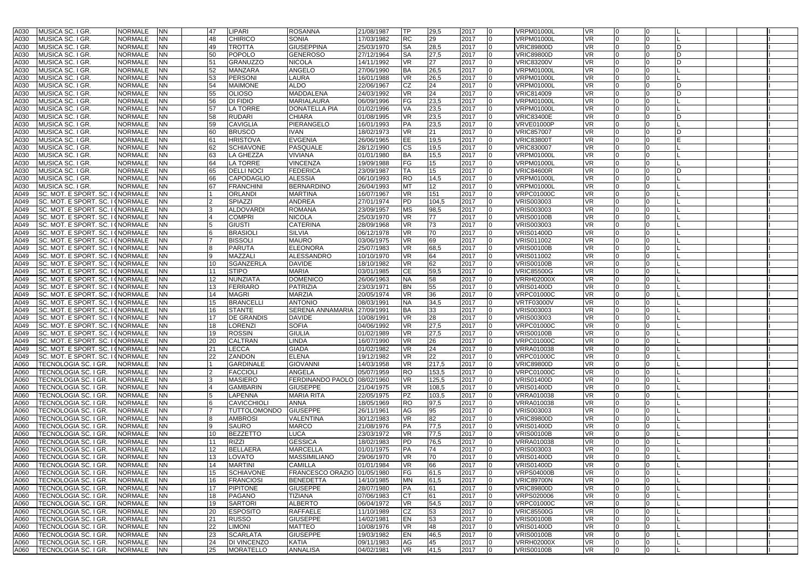| A030 | <b>MUSICA SC. I GR</b>                     | <b>NORMALE</b>                   | <b>NN</b> | 47 | LIPARI             | <b>ROSANNA</b>              | 21/08/1987 | lTP       | 29,5  | 2017                   | <b>VRPM01000L</b> | <b>VR</b> |             |    |  |
|------|--------------------------------------------|----------------------------------|-----------|----|--------------------|-----------------------------|------------|-----------|-------|------------------------|-------------------|-----------|-------------|----|--|
| A030 | MUSICA SC. I GR.                           | NORMALE                          | ΝN        | 48 | <b>CHIRICO</b>     | <b>SONIA</b>                | 17/03/1982 | <b>RC</b> | 29    | 2017<br>$\Omega$       | <b>VRPM01000L</b> | <b>VR</b> |             |    |  |
| A030 | MUSICA SC. I GR.                           | <b>NORMALE</b>                   | <b>NN</b> | 49 | <b>TROTTA</b>      | <b>GIUSEPPINA</b>           | 25/03/1970 | <b>SA</b> | 28,5  | 2017<br>$\Omega$       | <b>VRIC89800D</b> | <b>VR</b> |             | ID |  |
| A030 | MUSICA SC. I GR.                           | <b>NORMALE</b>                   | ΝN        | 50 | <b>POPOLO</b>      | <b>GENEROSO</b>             | 27/12/1964 | <b>SA</b> | 27,5  | 2017<br>$\Omega$       | <b>VRIC89800D</b> | VR        |             | ID |  |
|      |                                            |                                  |           |    |                    |                             |            |           |       |                        |                   |           |             |    |  |
| A030 | MUSICA SC. I GR.                           | NORMALE                          | ΝN        | 51 | <b>GRANUZZO</b>    | <b>NICOLA</b>               | 14/11/1992 | <b>VR</b> | 27    | 2017                   | <b>VRIC83200V</b> | VR        |             | D  |  |
| A030 | MUSICA SC. I GR                            | <b>NORMALE</b>                   | <b>NN</b> | 52 | <b>MANZARA</b>     | ANGELO                      | 27/06/1990 | <b>BA</b> | 26,5  | 2017<br>$\Omega$       | <b>VRPM01000L</b> | <b>VR</b> |             |    |  |
| A030 | MUSICA SC. I GR.                           | <b>NORMALE</b>                   | NN        | 53 | <b>PERSONI</b>     | LAURA                       | 16/01/1988 | <b>VR</b> | 26,5  | 2017<br><b>0</b>       | <b>VRPM01000L</b> | VR        |             |    |  |
|      |                                            |                                  |           |    |                    |                             |            |           |       |                        |                   |           |             |    |  |
| A030 | MUSICA SC. I GR.                           | <b>NORMALE</b>                   | ΝN        | 54 | <b>MAIMONE</b>     | <b>ALDO</b>                 | 22/06/1967 | CZ        | 24    | 2017                   | <b>VRPM01000L</b> | VR        |             | D  |  |
| A030 | MUSICA SC. I GR                            | <b>NORMALE</b>                   | ΝN        | 55 | <b>OLIOSO</b>      | MADDALENA                   | 24/03/1992 | <b>VR</b> | 24    | 2017<br>$\Omega$       | VRIC814009        | VR        |             | D  |  |
| A030 | MUSICA SC. I GR.                           | <b>NORMALE</b>                   | ΝN        | 56 | DI FIDIO           | MARIALAURA                  | 06/09/1996 | FG        | 23,5  | 2017<br><b>O</b>       | <b>VRPM01000L</b> | VR        |             |    |  |
| A030 | MUSICA SC. I GR.                           | NORMALE                          | ΝN        | 57 | LA TORRE           | DONATELLA PIA               | 01/02/1996 | VA        | 23,5  | 2017                   | <b>VRPM01000L</b> | VR        |             |    |  |
|      |                                            |                                  |           |    |                    |                             |            |           |       |                        |                   |           |             |    |  |
| A030 | MUSICA SC. I GR.                           | <b>NORMALE</b>                   | NN        | 58 | <b>RUDARI</b>      | <b>CHIARA</b>               | 01/08/1995 | <b>VR</b> | 23,5  | 2017                   | <b>VRIC83400E</b> | <b>VR</b> |             | D  |  |
| A030 | MUSICA SC. I GR                            | <b>NORMALE</b>                   | ΝN        | 59 | CAVIGLIA           | PIERANGELO                  | 16/01/1993 | PA        | 23,5  | 2017<br>$\overline{0}$ | <b>VRVE01000P</b> | VR        |             |    |  |
| A030 | <b>MUSICA SC. I GR</b>                     | <b>NORMALE</b>                   | NN        | 60 | <b>BRUSCO</b>      | <b>IVAN</b>                 | 18/02/1973 | <b>VR</b> | 21    | 2017                   | <b>VRIC857007</b> | VR        |             | D  |  |
|      |                                            |                                  |           |    |                    |                             |            |           |       |                        |                   |           |             |    |  |
| A030 | MUSICA SC. I GR.                           | <b>NORMALE</b>                   | NN        | 61 | <b>HRISTOVA</b>    | <b>EVGENIA</b>              | 26/06/1965 | EE        | 19,5  | 2017                   | <b>VRIC83800T</b> | <b>VR</b> |             |    |  |
| A030 | MUSICA SC. I GR.                           | <b>NORMALE</b>                   | NN        | 62 | <b>SCHIAVONE</b>   | PASQUALE                    | 28/12/1990 | <b>CS</b> | 19,5  | 2017<br>$\Omega$       | <b>VRIC830007</b> | <b>VR</b> |             |    |  |
| A030 | MUSICA SC. I GR                            | <b>NORMALE</b>                   | ΝN        | 63 | LA GHEZZA          | <b>VIVIANA</b>              | 01/01/1980 | <b>BA</b> | 15,5  | 2017<br>$\Omega$       | <b>VRPM01000L</b> | <b>VR</b> |             |    |  |
|      |                                            | <b>NORMALE</b>                   |           |    |                    |                             |            |           |       |                        | <b>VRPM01000L</b> | <b>VR</b> |             |    |  |
| A030 | MUSICA SC. I GR.                           |                                  | NN        | 64 | <b>LA TORRE</b>    | <b>VINCENZA</b>             | 19/09/1988 | FG        | 15    | 2017                   |                   |           |             |    |  |
| A030 | MUSICA SC. I GR.                           | <b>NORMALE</b>                   | NN        | 65 | <b>DELLI NOCI</b>  | <b>FEDERICA</b>             | 23/09/1987 | <b>TA</b> | 15    | 2017<br>$\Omega$       | <b>VRIC84600R</b> | <b>VR</b> |             | D  |  |
| A030 | MUSICA SC. I GR.                           | <b>NORMALE</b>                   | ΝN        | 66 | CAPODAGLIO         | <b>ALESSIA</b>              | 06/10/1993 | <b>RO</b> | 14,5  | 2017                   | <b>VRPM01000L</b> | VR.       |             |    |  |
| A030 | MUSICA SC. I GR.                           | <b>NORMALE</b>                   | ΝN        | 67 | <b>FRANCHINI</b>   | <b>BERNARDINO</b>           | 26/04/1993 | MT        | 12    | 2017                   | <b>VRPM01000L</b> | <b>VR</b> |             |    |  |
|      |                                            |                                  |           |    |                    |                             |            |           |       |                        |                   |           |             |    |  |
| A049 | SC. MOT. E SPORT. SC. I INORMALE           |                                  | ΝN        |    | <b>ORLANDI</b>     | <b>MARTINA</b>              | 16/07/1967 | <b>VR</b> | 151   | 2017<br><b>0</b>       | <b>VRPC01000C</b> | VR        | $\Omega$    |    |  |
| A049 |                                            | SC. MOT. E SPORT. SC. I INORMALE | NN        |    | SPIAZZI            | <b>ANDREA</b>               | 27/01/1974 | PD        | 104,5 | 2017<br>$\Omega$       | <b>VRIS003003</b> | VR        |             |    |  |
| A049 |                                            | SC. MOT. E SPORT. SC. I INORMALE | ΝN        |    | <b>ALDOVARDI</b>   | <b>ROMANA</b>               | 23/09/1957 | МS        | 98,5  | 2017                   | <b>VRIS003003</b> | VR.       |             |    |  |
|      |                                            |                                  |           |    |                    |                             |            |           |       |                        |                   |           |             |    |  |
| A049 | SC. MOT. E SPORT. SC. I INORMALE           |                                  | NN        |    | <b>COMPRI</b>      | <b>NICOLA</b>               | 25/03/1970 | <b>VR</b> | 77    | 2017<br>$\Omega$       | <b>VRIS00100B</b> | <b>VR</b> |             |    |  |
| A049 | SC. MOT. E SPORT. SC. I INORMALE           |                                  | ΝN        |    | <b>GIUSTI</b>      | <b>CATERINA</b>             | 28/09/1968 | <b>VR</b> | 73    | 2017<br>$\Omega$       | <b>VRIS003003</b> | VR        |             |    |  |
| A049 | SC. MOT. E SPORT. SC. I INORMALE           |                                  | ΝN        |    | <b>BRASIOL</b>     | <b>SILVIA</b>               | 06/12/1978 | <b>VR</b> | 70    | 2017                   | <b>VRIS01400D</b> | VR        |             |    |  |
| A049 | SC. MOT. E SPORT. SC. I INORMALE           |                                  | NN        |    | <b>BISSOLI</b>     | <b>MAURO</b>                | 03/06/1975 | <b>VR</b> | 69    | 2017<br>$\Omega$       | VRIS011002        | <b>VR</b> | $\Omega$    |    |  |
|      |                                            |                                  |           |    |                    |                             |            |           |       |                        |                   |           |             |    |  |
| A049 |                                            | SC. MOT. E SPORT. SC. I (NORMALE | ΝN        |    | <b>PARUTA</b>      | <b>ELEONORA</b>             | 25/07/1983 | <b>VR</b> | 68,5  | 2017<br>$\Omega$       | <b>VRIS00100B</b> | <b>VR</b> |             |    |  |
| A049 | SC. MOT. E SPORT. SC. I INORMALE           |                                  | ΝN        |    | MAZZALI            | ALESSANDRO                  | 10/10/1970 | VR        | 64    | 2017                   | VRIS011002        | VR        |             |    |  |
| A049 | SC. MOT. E SPORT. SC. I INORMALE           |                                  | ΝN        | 10 | <b>SGANZERLA</b>   | <b>DAVIDE</b>               | 18/10/1982 | <b>VR</b> | 62    | 2017<br>l <sub>0</sub> | <b>VRIS00100B</b> | <b>VR</b> |             |    |  |
|      |                                            |                                  |           |    |                    |                             |            |           |       |                        |                   |           |             |    |  |
| A049 |                                            | SC. MOT. E SPORT. SC. I INORMALE | ΝN        | 11 | <b>STIPO</b>       | <b>MARIA</b>                | 03/01/1985 | CE        | 59,5  | 2017<br>$\Omega$       | <b>VRIC85500G</b> | VR.       |             |    |  |
| A049 | SC. MOT. E SPORT. SC. I INORMALE           |                                  | ΝN        | 12 | <b>NUNZIATA</b>    | <b>DOMENICO</b>             | 26/06/1963 | <b>NA</b> | 58    | 2017<br>n              | <b>VRRH02000X</b> | VR        |             |    |  |
| A049 | SC. MOT. E SPORT. SC. I (NORMALE           |                                  | NN        | 13 | <b>FERRARO</b>     | PATRIZIA                    | 23/03/1971 | <b>BN</b> | 55    | 2017                   | <b>VRIS01400D</b> | <b>VR</b> |             |    |  |
| A049 |                                            |                                  | ΝN        | 14 | <b>MAGRI</b>       | <b>MARZIA</b>               | 20/05/1974 | <b>VR</b> | 36    | 2017<br>$\Omega$       |                   | VR        | $\Omega$    |    |  |
|      |                                            | SC. MOT. E SPORT. SC. I INORMALE |           |    |                    |                             |            |           |       |                        | <b>VRPC01000C</b> |           |             |    |  |
| A049 | SC. MOT. E SPORT. SC. I INORMALE           |                                  | ΝN        | 15 | <b>BRANCELLI</b>   | <b>ANTONIO</b>              | 08/03/1991 | <b>NA</b> | 34,5  | 2017<br>l <sub>0</sub> | <b>VRTF03000V</b> | VR        |             |    |  |
| A049 |                                            | SC. MOT. E SPORT. SC. I (NORMALE | NN        | 16 | <b>STANTE</b>      | SERENA ANNAMARIA            | 27/09/1991 | <b>BA</b> | 33    | 2017<br>$\Omega$       | VRIS003003        | <b>VR</b> |             |    |  |
| A049 | SC. MOT. E SPORT. SC. I INORMALE           |                                  | ΝN        | 17 | <b>DE GRANDIS</b>  | <b>DAVIDE</b>               | 10/08/1991 | <b>VR</b> | 28    | 2017<br>$\Omega$       | <b>VRIS003003</b> | VR        | $\Omega$    |    |  |
|      |                                            |                                  |           |    |                    |                             |            |           |       |                        |                   |           |             |    |  |
| A049 | SC. MOT. E SPORT. SC. I INORMALE           |                                  | ΝN        | 18 | LORENZI            | <b>SOFIA</b>                | 04/06/1992 | <b>VR</b> | 27,5  | 2017<br>n              | <b>VRPC01000C</b> | VR        |             |    |  |
| A049 | SC. MOT. E SPORT. SC. I (NORMALE           |                                  | <b>NN</b> | 19 | <b>ROSSIN</b>      | <b>GIULIA</b>               | 01/02/1989 | <b>VR</b> | 27,5  | 2017<br>$\Omega$       | <b>VRIS00100B</b> | <b>VR</b> |             |    |  |
| A049 | SC. MOT. E SPORT. SC. I INORMALE           |                                  | ΝN        | 20 | <b>CALTRAN</b>     | LINDA                       | 16/07/1990 | <b>VR</b> | 26    | 2017<br>$\overline{0}$ | <b>VRPC01000C</b> | VR        | $\Omega$    |    |  |
|      |                                            |                                  |           |    |                    |                             |            |           |       |                        |                   |           |             |    |  |
| A049 | SC. MOT. E SPORT. SC. I INORMALE           |                                  | ΝN        | 21 | LECCA              | <b>GIADA</b>                | 01/02/1982 | <b>VR</b> | 24    | 2017                   | <b>VRRA010038</b> | VR.       |             |    |  |
| A049 | SC. MOT. E SPORT. SC. I INORMALE           |                                  | NN        | 22 | ZANDON             | <b>ELENA</b>                | 19/12/1982 | <b>VR</b> | 22    | 2017                   | <b>VRPC01000C</b> | <b>VR</b> |             |    |  |
| A060 | TECNOLOGIA SC. I GR.                       | <b>NORMALE</b>                   | ΝN        |    | <b>GARDINALE</b>   | <b>GIOVANNI</b>             | 14/03/1958 | <b>VR</b> | 217,5 | 2017<br><b>O</b>       | <b>VRIC89800D</b> | VR        | $\Omega$    |    |  |
| A060 | TECNOLOGIA SC. I GR.                       | <b>NORMALE</b>                   | NN        |    | <b>FACCIOLI</b>    | ANGELA                      | 05/07/1959 | <b>RO</b> | 153,5 | 2017<br>n              | <b>VRPC01000C</b> | <b>VR</b> |             |    |  |
|      |                                            |                                  |           |    |                    |                             |            |           |       |                        |                   |           |             |    |  |
| A060 | TECNOLOGIA SC. I GR.                       | NORMALE                          | NN        |    | <b>MASIERO</b>     | FERDINANDO PAOLO 08/02/1960 |            | <b>VR</b> | 125,5 | 2017                   | <b>VRIS01400D</b> | <b>VR</b> |             |    |  |
| A060 | TECNOLOGIA SC. I GR.                       | <b>NORMALE</b>                   | NN        |    | <b>GAMBARIN</b>    | <b>GIUSEPPE</b>             | 21/04/1975 | <b>VR</b> | 108,5 | 2017<br>$\Omega$       | <b>VRIS01400D</b> | <b>VR</b> |             |    |  |
| A060 | TECNOLOGIA SC. I GR.                       | <b>NORMALE</b>                   | <b>NN</b> |    | LAPENNA            | <b>MARIA RITA</b>           | 22/05/1975 | PZ        | 103,5 | 2017<br><b>O</b>       | <b>VRRA010038</b> | VR        |             |    |  |
|      |                                            |                                  |           |    |                    |                             |            |           |       |                        |                   |           |             |    |  |
| A060 | TECNOLOGIA SC. I GR.                       | <b>NORMALE</b>                   | ΝN        |    | <b>CAVICCHIOLI</b> | <b>ANNA</b>                 | 18/05/1969 | <b>RO</b> | 97,5  | 2017                   | <b>VRRA010038</b> | VR        |             |    |  |
| A060 | TECNOLOGIA SC. I GR.                       | <b>NORMALE</b>                   | <b>NN</b> |    | TUTTOLOMONDO       | <b>GIUSEPPE</b>             | 26/11/1961 | AG        | 95    | 2017<br>l <sub>0</sub> | <b>VRIS003003</b> | <b>VR</b> |             |    |  |
| A060 | TECNOLOGIA SC. I GR.                       | <b>NORMALE</b>                   | ΝN        |    | <b>AMBROSI</b>     | VALENTINA                   | 30/12/1983 | <b>VR</b> | 82    | 2017<br><b>0</b>       | <b>VRIC89800D</b> | VR        | n           |    |  |
| A060 | TECNOLOGIA SC. I GR.                       | NORMALE                          | ΝN        |    | SAURO              | <b>MARCO</b>                | 21/08/1976 | PA        | 77,5  | 2017                   | <b>VRIS01400D</b> | VR        |             |    |  |
|      |                                            |                                  |           |    |                    |                             |            |           |       |                        |                   |           |             |    |  |
| A060 | TECNOLOGIA SC. I GR.                       | <b>NORMALE</b>                   | NN        | 10 | <b>BEZZETTO</b>    | <b>LUCA</b>                 | 23/03/1972 | <b>VR</b> | 77,5  | 2017                   | <b>VRIS00100B</b> | <b>VR</b> |             |    |  |
| A060 | TECNOLOGIA SC. I GR.                       | <b>NORMALE</b>                   | ΝN        | 11 | RIZZI              | <b>GESSICA</b>              | 18/02/1983 | PD        | 76,5  | 2017<br><b>O</b>       | <b>VRRA010038</b> | VR        |             |    |  |
| A060 | TECNOLOGIA SC. I GR.                       | <b>NORMALE</b>                   | ΝN        | 12 | <b>BELLAERA</b>    | <b>MARCELLA</b>             | 01/01/1975 | PA        | 74    | 2017<br>$\Omega$       | VRIS003003        | VR        |             |    |  |
|      | A060   TECNOLOGIA SC. I GR.                |                                  |           |    |                    |                             |            |           |       |                        |                   |           |             |    |  |
|      |                                            | <b>NORMALE</b>                   | <b>NN</b> | 13 | LOVATO             | MASSIMILIANO                | 29/06/1970 | <b>VR</b> | 70    | 2017<br>$\overline{0}$ | <b>VRIS01400D</b> | <b>VR</b> |             |    |  |
|      | A060   TECNOLOGIA SC. I GR.                | NORMALE INN                      |           | 14 | <b>MARTINI</b>     | CAMILLA                     | 01/01/1984 | <b>VR</b> | 66    | 2017<br>0              | <b>VRIS01400D</b> | VR        | <b>O</b>    |    |  |
|      | A060   TECNOLOGIA SC. I GR.                | <b>NORMALE</b>                   | <b>NN</b> | 15 | <b>SCHIAVONE</b>   | FRANCESCO ORAZIO 01/05/1980 |            | FG        | 61,5  | 2017<br>$\Omega$       | <b>VRPS04000B</b> | VR        |             |    |  |
|      | A060   TECNOLOGIA SC. I GR.                | <b>NORMALE</b>                   | NN        | 16 | <b>FRANCIOSI</b>   | <b>BENEDETTA</b>            | 14/10/1985 | MN        | 61,5  | 2017<br>$\Omega$       | <b>VRIC89700N</b> | <b>VR</b> |             |    |  |
|      |                                            |                                  |           |    |                    |                             |            |           |       |                        |                   |           |             |    |  |
|      | A060   TECNOLOGIA SC. I GR.                | <b>NORMALE</b>                   | <b>NN</b> | 17 | <b>PIPITONE</b>    | <b>GIUSEPPE</b>             | 28/07/1980 | PA        | 61    | 2017<br>$\overline{0}$ | <b>VRIC89800D</b> | <b>VR</b> | $\Omega$    |    |  |
|      | A060   TECNOLOGIA SC. I GR.                | <b>NORMALE</b>                   | <b>NN</b> | 18 | <b>PAGANO</b>      | TIZIANA                     | 07/06/1983 | IСТ       | 61    | 2017<br>$\overline{0}$ | <b>VRPS020006</b> | VR        |             |    |  |
|      | A060   TECNOLOGIA SC. I GR.                | <b>NORMALE</b>                   | NN        | 19 | <b>SARTORI</b>     | <b>ALBERTO</b>              | 06/04/1972 | VR        | 54,5  | 2017<br>0              | <b>VRPC01000C</b> | <b>VR</b> |             |    |  |
|      |                                            |                                  |           |    |                    |                             |            |           |       |                        |                   |           |             |    |  |
|      | A060   TECNOLOGIA SC. I GR.                | <b>NORMALE</b>                   | <b>NN</b> | 20 | <b>ESPOSITO</b>    | RAFFAELE                    | 11/10/1989 | CZ        | 53    | 2017<br>$\overline{0}$ | <b>VRIC85500G</b> | <b>VR</b> | <b>O</b>    |    |  |
|      | A060   TECNOLOGIA SC. I GR.                | <b>NORMALE</b>                   | NN        | 21 | <b>RUSSO</b>       | <b>GIUSEPPE</b>             | 14/02/1981 | EN        | 53    | 2017                   | <b>VRIS00100B</b> | <b>VR</b> |             |    |  |
|      | A060   TECNOLOGIA SC. I GR.                | <b>NORMALE</b>                   | NN        | 22 | <b>LIMONI</b>      | <b>MATTEO</b>               | 10/08/1976 | <b>VR</b> | 48    | 2017<br><b>O</b>       | <b>VRIS01400D</b> | <b>VR</b> |             |    |  |
|      | A060   TECNOLOGIA SC. I GR.                | <b>NORMALE</b>                   | <b>NN</b> | 23 | <b>SCARLATA</b>    | <b>GIUSEPPE</b>             | 19/03/1982 | EN        | 46,5  | 2017<br><b>O</b>       | <b>VRIS00100B</b> | <b>VR</b> | 10          |    |  |
|      |                                            |                                  |           |    |                    |                             |            |           |       |                        |                   |           |             |    |  |
|      | A060   TECNOLOGIA SC. I GR.                | <b>NORMALE</b>                   | <b>NN</b> | 24 | DI VINCENZO        | <b>KATIA</b>                | 09/11/1983 | AG        | 45    | 2017<br>$\overline{0}$ | <b>VRRH02000X</b> | <b>VR</b> | <b>O</b>    |    |  |
|      | A060   TECNOLOGIA SC. I GR.   NORMALE   NN |                                  |           | 25 | MORATELLO          | ANNALISA                    | 04/02/1981 | VR        | 41,5  | 2017<br>$\overline{0}$ | <b>VRIS00100B</b> | <b>VR</b> | $\mathbf 0$ |    |  |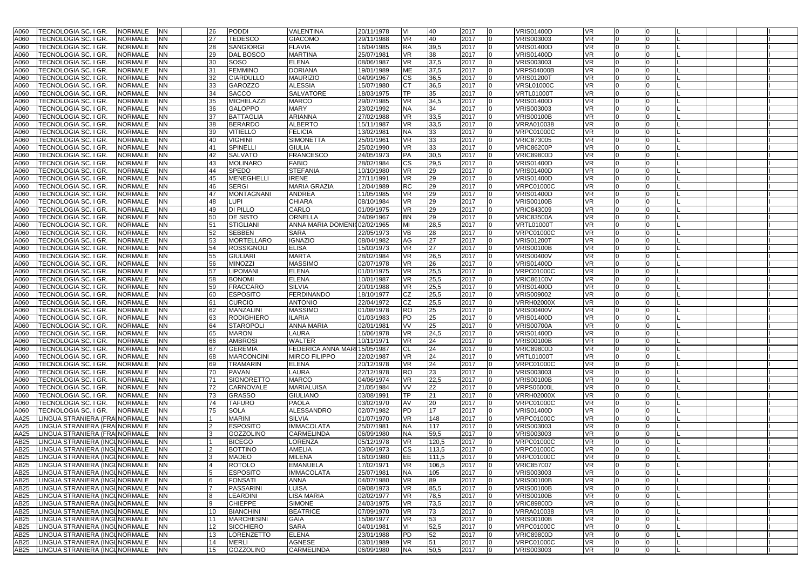| A060             | TECNOLOGIA SC. I GR.                      | <b>NORMALE</b> | <b>NN</b> |                |    | <b>PODDI</b>      | VALENTINA                     | 20/11/1978 | IVI        | 40    | 2017 |                 | <b>VRIS01400D</b> | <b>VR</b> |   |                |  |  |
|------------------|-------------------------------------------|----------------|-----------|----------------|----|-------------------|-------------------------------|------------|------------|-------|------|-----------------|-------------------|-----------|---|----------------|--|--|
|                  |                                           |                |           |                | 26 |                   |                               |            |            |       |      |                 |                   |           |   |                |  |  |
| A060             | TECNOLOGIA SC. I GR.                      | <b>NORMALE</b> | <b>NN</b> |                | 27 | <b>TEDESCO</b>    | <b>GIACOMO</b>                | 29/11/1988 | <b>VR</b>  | 40    | 2017 |                 | VRIS003003        | VR.       |   |                |  |  |
| A060             | TECNOLOGIA SC. I GR.                      | <b>NORMALE</b> | <b>NN</b> |                | 28 | <b>SANGIORGI</b>  | <b>FLAVIA</b>                 | 16/04/1985 | <b>RA</b>  | 39,5  | 2017 | $\Omega$        | <b>VRIS01400D</b> | <b>VR</b> |   |                |  |  |
| A060             |                                           | <b>NORMALE</b> | <b>NN</b> |                | 29 | <b>DAL BOSCO</b>  | MARTINA                       | 25/07/1981 | <b>VR</b>  | 38    |      | $\Omega$        | <b>VRIS01400D</b> | VR        |   |                |  |  |
|                  | TECNOLOGIA SC. I GR                       |                |           |                |    |                   |                               |            |            |       | 2017 |                 |                   |           |   |                |  |  |
| A060             | TECNOLOGIA SC. I GR.                      | <b>NORMALE</b> | <b>NN</b> |                | 30 | SOSO              | <b>ELENA</b>                  | 08/06/1987 | <b>VR</b>  | 37,5  | 2017 | $\Omega$        | VRIS003003        | VR        |   |                |  |  |
| A060             | TECNOLOGIA SC. I GR                       | <b>NORMALE</b> | <b>NN</b> |                | 31 | <b>FEMMINO</b>    | <b>DORIANA</b>                | 19/01/1989 | <b>ME</b>  | 37,5  | 2017 | $\Omega$        | <b>VRPS04000B</b> | VR        |   |                |  |  |
| A060             | TECNOLOGIA SC. I GR                       | <b>NORMALE</b> | <b>NN</b> |                | 32 | CIARDULLO         | <b>MAURIZIO</b>               | 04/09/1967 | <b>CS</b>  | 36,5  | 2017 | $\Omega$        | <b>VRIS01200T</b> | VR        |   |                |  |  |
|                  |                                           |                |           |                |    |                   |                               |            |            |       |      |                 |                   |           |   |                |  |  |
| A060             | TECNOLOGIA SC. I GR.                      | <b>NORMALE</b> | <b>NN</b> |                | 33 | <b>GAROZZO</b>    | <b>ALESSIA</b>                | 15/07/1980 | IСТ        | 36,5  | 2017 | O               | <b>VRSL01000C</b> | VR        |   |                |  |  |
| A060             | TECNOLOGIA SC. I GR                       | <b>NORMALE</b> | <b>NN</b> |                | 34 | <b>SACCO</b>      | <b>SALVATORE</b>              | 18/03/1975 | TP         | 35    | 2017 |                 | <b>VRTL01000T</b> | VR        |   |                |  |  |
| A060             | TECNOLOGIA SC. I GR                       | <b>NORMALE</b> | <b>NN</b> |                | 35 | <b>MICHELAZZI</b> | MARCO                         | 29/07/1985 | <b>VR</b>  | 34,5  | 2017 | $\Omega$        | <b>VRIS01400D</b> | VR        |   |                |  |  |
|                  |                                           |                |           |                |    |                   |                               |            |            |       |      |                 |                   |           |   |                |  |  |
| A060             | TECNOLOGIA SC. I GR.                      | <b>NORMALE</b> | <b>NN</b> |                | 36 | <b>GALOPPO</b>    | MARY                          | 23/02/1992 | <b>NA</b>  | 34    | 2017 | O               | VRIS003003        | VR        |   |                |  |  |
| A060             | TECNOLOGIA SC. I GR                       | <b>NORMALE</b> | <b>NN</b> |                | 37 | <b>BATTAGLIA</b>  | ARIANNA                       | 27/02/1988 | <b>VR</b>  | 33,5  | 2017 |                 | <b>VRIS00100B</b> | <b>VR</b> |   |                |  |  |
| A060             | TECNOLOGIA SC. I GR                       | <b>NORMALE</b> | <b>NN</b> |                | 38 | <b>BERARDO</b>    | <b>ALBERTO</b>                | 15/11/1987 | <b>VR</b>  | 33,5  | 2017 | 0               | <b>VRRA010038</b> | VR        |   |                |  |  |
|                  |                                           |                |           |                |    |                   |                               |            |            |       |      |                 |                   |           |   |                |  |  |
| A060             | TECNOLOGIA SC. I GR                       | <b>NORMALE</b> | <b>NN</b> |                | 39 | <b>VITIELLO</b>   | <b>FELICIA</b>                | 13/02/1981 | <b>NA</b>  | 33    | 2017 | O               | <b>VRPC01000C</b> | VR        |   |                |  |  |
| A060             | TECNOLOGIA SC. I GR.                      | <b>NORMALE</b> | <b>NN</b> |                | 40 | <b>VIGHINI</b>    | <b>SIMONETTA</b>              | 25/01/1961 | <b>VR</b>  | 33    | 2017 | $\Omega$        | <b>VRIC873005</b> | VR        |   |                |  |  |
| A060             | TECNOLOGIA SC. I GR                       | <b>NORMALE</b> | <b>NN</b> |                | 41 | SPINELLI          | <b>GIULIA</b>                 | 25/02/1990 | <b>VR</b>  | 33    | 2017 | $\Omega$        | <b>VRIC86200P</b> | <b>VR</b> |   |                |  |  |
|                  |                                           |                |           |                | 42 | <b>SALVATO</b>    | <b>FRANCESCO</b>              |            |            |       |      | 0               |                   |           |   |                |  |  |
| A060             | TECNOLOGIA SC. I GR                       | <b>NORMALE</b> | <b>NN</b> |                |    |                   |                               | 24/05/1973 | PA         | 30,5  | 2017 |                 | <b>VRIC89800D</b> | VR        |   |                |  |  |
| A060             | TECNOLOGIA SC. I GR                       | <b>NORMALE</b> | <b>NN</b> |                | 43 | <b>MOLINARO</b>   | <b>FABIO</b>                  | 28/02/1984 | CS         | 29,5  | 2017 |                 | <b>VRIS01400D</b> | VR.       |   |                |  |  |
| A060             | TECNOLOGIA SC. I GR                       | <b>NORMALE</b> | <b>NN</b> |                | 44 | <b>SPEDO</b>      | <b>STEFANIA</b>               | 10/10/1980 | <b>VR</b>  | 29    | 2017 | $\Omega$        | <b>VRIS01400D</b> | VR        |   |                |  |  |
| A060             |                                           | <b>NORMALE</b> | <b>NN</b> |                | 45 |                   | <b>IRENE</b>                  | 27/11/1991 | <b>VR</b>  | 29    | 2017 |                 | <b>VRIS01400D</b> | VR        |   |                |  |  |
|                  | TECNOLOGIA SC. I GR                       |                |           |                |    | <b>MENEGHELLI</b> |                               |            |            |       |      |                 |                   |           |   |                |  |  |
| A060             | TECNOLOGIA SC. I GR                       | <b>NORMALE</b> | <b>NN</b> |                | 46 | <b>SERGI</b>      | MARIA GRAZIA                  | 12/04/1989 | <b>RC</b>  | 29    | 2017 |                 | <b>VRPC01000C</b> | VR        |   |                |  |  |
| A060             | TECNOLOGIA SC. I GR.                      | <b>NORMALE</b> | <b>NN</b> |                | 47 | <b>MONTAGNANI</b> | ANDREA                        | 11/05/1985 | <b>VR</b>  | 29    | 2017 | 0               | <b>VRIS01400D</b> | VR        |   |                |  |  |
| A060             | TECNOLOGIA SC. I GR                       | <b>NORMALE</b> | <b>NN</b> |                | 48 | LUPI              | <b>CHIARA</b>                 | 08/10/1984 | <b>VR</b>  | 29    | 2017 | $\Omega$        | <b>VRIS00100B</b> | VR        |   |                |  |  |
|                  |                                           |                |           |                |    |                   |                               |            |            |       |      |                 |                   |           |   |                |  |  |
| A060             | TECNOLOGIA SC. I GR                       | <b>NORMALE</b> | <b>NN</b> |                | 49 | DI PILLO          | CARLO                         | 01/09/1975 | <b>VR</b>  | 29    | 2017 | $\Omega$        | <b>VRIC843009</b> | VR.       |   |                |  |  |
| A060             | TECNOLOGIA SC. I GR                       | <b>NORMALE</b> | <b>NN</b> |                | 50 | <b>DE SISTO</b>   | ORNELLA                       | 24/09/1967 | <b>BN</b>  | 29    | 2017 | $\Omega$        | <b>VRIC83500A</b> | <b>VR</b> |   |                |  |  |
| A060             | TECNOLOGIA SC. I GR                       | <b>NORMALE</b> | <b>NN</b> |                | 51 | <b>STIGLIANI</b>  | ANNA MARIA DOMENI002/02/1965  |            | MI         | 28,5  | 2017 | $\Omega$        | <b>VRTL01000T</b> | VR        |   |                |  |  |
|                  |                                           |                |           |                |    |                   |                               |            |            |       |      |                 |                   |           |   |                |  |  |
| A060             | TECNOLOGIA SC. I GR                       | <b>NORMALE</b> | <b>NN</b> |                | 52 | <b>SEBBEN</b>     | SARA                          | 22/05/1973 | <b>VB</b>  | 28    | 2017 | $\Omega$        | <b>VRPC01000C</b> | VR        |   |                |  |  |
| A060             | TECNOLOGIA SC. I GR                       | <b>NORMALE</b> | <b>NN</b> |                | 53 | <b>MORTELLARO</b> | <b>IGNAZIO</b>                | 08/04/1982 | AG         | 27    | 2017 | $\Omega$        | <b>VRIS01200T</b> | <b>VR</b> |   |                |  |  |
| A060             | TECNOLOGIA SC. I GR                       | <b>NORMALE</b> | <b>NN</b> |                | 54 | <b>ROSSIGNOLI</b> | <b>ELISA</b>                  | 15/03/1973 | <b>VR</b>  | 27    | 2017 | $\Omega$        | <b>VRIS00100B</b> | VR.       |   |                |  |  |
|                  |                                           |                |           |                |    |                   |                               |            |            |       |      |                 |                   |           |   |                |  |  |
| A060             | TECNOLOGIA SC. I GR                       | <b>NORMALE</b> | <b>NN</b> |                | 55 | <b>GIULIARI</b>   | <b>MARTA</b>                  | 28/02/1984 | <b>VR</b>  | 26,5  | 2017 |                 | <b>VRIS00400V</b> | VR        |   |                |  |  |
| A060             | TECNOLOGIA SC. I GR                       | <b>NORMALE</b> | <b>NN</b> |                | 56 | <b>MINOZZI</b>    | MASSIMO                       | 02/07/1978 | <b>VR</b>  | 26    | 2017 |                 | <b>VRIS01400D</b> | VR        |   |                |  |  |
| A060             | TECNOLOGIA SC. I GR                       | <b>NORMALE</b> | <b>NN</b> |                | 57 | <b>LIPOMANI</b>   | <b>ELENA</b>                  | 01/01/1975 | <b>VR</b>  | 25,5  | 2017 | 0               | <b>VRPC01000C</b> | VR        |   |                |  |  |
|                  |                                           |                |           |                |    |                   |                               |            |            |       |      |                 |                   |           |   |                |  |  |
| A060             | TECNOLOGIA SC. I GR.                      | <b>NORMALE</b> | <b>NN</b> |                | 58 | <b>BONOMI</b>     | ELENA                         | 10/01/1987 | <b>VR</b>  | 25,5  | 2017 | O               | <b>VRIC86100V</b> | VR        |   |                |  |  |
| A060             | TECNOLOGIA SC. I GR                       | <b>NORMALE</b> | <b>NN</b> |                | 59 | <b>FRACCARO</b>   | <b>SILVIA</b>                 | 20/01/1988 | <b>VR</b>  | 25,5  | 2017 | $\Omega$        | <b>VRIS01400D</b> | <b>VR</b> |   |                |  |  |
| A060             | TECNOLOGIA SC. I GR                       | <b>NORMALE</b> | <b>NN</b> |                | 60 | <b>ESPOSITO</b>   | FERDINANDO                    | 18/10/1977 | CZ         | 25,5  | 2017 | 0               | VRIS009002        | VR        |   |                |  |  |
|                  |                                           |                |           |                |    |                   |                               |            |            |       |      |                 |                   |           |   |                |  |  |
| A060             | TECNOLOGIA SC. I GR                       | <b>NORMALE</b> | <b>NN</b> |                | 61 | <b>CURCIO</b>     | <b>ANTONIO</b>                | 22/04/1972 | <b>CZ</b>  | 25,5  | 2017 | $\Omega$        | <b>VRRH02000X</b> | VR        |   |                |  |  |
| A060             | TECNOLOGIA SC. I GR.                      | <b>NORMALE</b> | <b>NN</b> |                | 62 | MANZALINI         | <b>MASSIMO</b>                | 01/08/1978 | <b>RO</b>  | 25    | 2017 | 0               | <b>VRIS00400V</b> | <b>VR</b> |   |                |  |  |
| A060             | TECNOLOGIA SC. I GR                       | <b>NORMALE</b> | <b>NN</b> |                | 63 | <b>RODIGHIERO</b> | <b>ILARIA</b>                 | 01/03/1983 | <b>PD</b>  | 25    | 2017 | 0               | <b>VRIS01400D</b> | <b>VR</b> |   |                |  |  |
|                  |                                           |                |           |                |    |                   |                               |            |            |       |      |                 |                   |           |   |                |  |  |
| A060             | TECNOLOGIA SC. I GR                       | <b>NORMALE</b> | <b>NN</b> |                | 64 | <b>STAROPOLI</b>  | ANNA MARIA                    | 02/01/1981 | <b>VV</b>  | 25    | 2017 | 0               | <b>VRIS00700A</b> | VR        |   |                |  |  |
| A060             | TECNOLOGIA SC. I GR                       | <b>NORMALE</b> | <b>NN</b> |                | 65 | <b>MARON</b>      | LAURA                         | 16/06/1978 | <b>VR</b>  | 24,5  | 2017 | $\Omega$        | <b>VRIS01400D</b> | VR.       |   |                |  |  |
| A060             | TECNOLOGIA SC. I GR.                      | <b>NORMALE</b> | <b>NN</b> |                | 66 | <b>AMBROSI</b>    | WALTER                        | 10/11/1971 | <b>VR</b>  | 24    | 2017 | $\Omega$        | <b>VRIS00100B</b> | VR        |   |                |  |  |
|                  |                                           |                |           |                |    |                   | FEDERICA ANNA MARI 15/05/1987 |            |            |       |      |                 |                   |           |   |                |  |  |
| A060             | TECNOLOGIA SC. I GR                       | <b>NORMALE</b> | <b>NN</b> |                | 67 | <b>GEREMIA</b>    |                               |            | CL         | 24    | 2017 |                 | <b>VRIC89800D</b> | VR        |   |                |  |  |
| A060             | TECNOLOGIA SC. I GR                       | <b>NORMALE</b> | <b>NN</b> |                | 68 | <b>MARCONCINI</b> | <b>MIRCO FILIPPO</b>          | 22/02/1987 | <b>VR</b>  | 24    | 2017 |                 | <b>VRTL01000T</b> | <b>VR</b> |   |                |  |  |
| A060             | TECNOLOGIA SC. I GR.                      | <b>NORMALE</b> | <b>NN</b> |                | 69 | <b>TRAMARIN</b>   | ELENA                         | 20/12/1978 | <b>VR</b>  | 24    | 2017 | 0               | <b>VRPC01000C</b> | VR        |   |                |  |  |
| A060             | TECNOLOGIA SC. I GR                       | <b>NORMALE</b> | <b>NN</b> |                | 70 | <b>PAVAN</b>      | LAURA                         | 22/12/1978 | <b>RO</b>  | 23    | 2017 | 0               | VRIS003003        | VR        |   |                |  |  |
|                  |                                           |                |           |                |    |                   |                               |            |            |       |      |                 |                   |           |   |                |  |  |
| A060             | TECNOLOGIA SC. I GR                       | <b>NORMALE</b> | <b>NN</b> |                | 71 | <b>SIGNORETTO</b> | <b>MARCO</b>                  | 04/06/1974 | <b>VR</b>  | 22,5  | 2017 |                 | <b>VRIS00100B</b> | <b>VR</b> |   |                |  |  |
| A060             | TECNOLOGIA SC. I GR.                      | <b>NORMALE</b> | <b>NN</b> |                | 72 | CARNOVALE         | <b>MARIALUISA</b>             | 21/05/1984 | <b>VV</b>  | 22    | 2017 | $\Omega$        | <b>VRPS06000L</b> | <b>VR</b> |   |                |  |  |
| A060             | TECNOLOGIA SC. I GR                       | <b>NORMALE</b> | <b>NN</b> |                | 73 | <b>GRASSO</b>     | <b>GIULIANO</b>               | 03/08/1991 | <b>TP</b>  | 21    | 2017 | $\Omega$        | <b>VRRH02000X</b> | VR        |   |                |  |  |
|                  |                                           |                |           |                |    |                   |                               |            |            |       |      |                 |                   |           |   |                |  |  |
| A060             | TECNOLOGIA SC. I GR                       | <b>NORMALE</b> | <b>NN</b> |                | 74 | TAFURO            | PAOLA                         | 03/02/1970 | <b>AV</b>  | 20    | 2017 | $\Omega$        | <b>VRPC01000C</b> | VR        |   |                |  |  |
| A060             | TECNOLOGIA SC. I GR                       | <b>NORMALE</b> | <b>NN</b> |                | 75 | <b>SOLA</b>       | ALESSANDRO                    | 02/07/1982 | <b>IPD</b> | 17    | 2017 | $\Omega$        | <b>VRIS01400D</b> | VR        |   |                |  |  |
| AA25             | LINGUA STRANIERA (FRAINORMALE             |                | <b>NN</b> |                |    | <b>MARINI</b>     | SILVIA                        | 01/07/1970 | <b>VR</b>  | 148   | 2017 | 0               | <b>VRPC01000C</b> | <b>VR</b> |   |                |  |  |
|                  |                                           |                | <b>NN</b> |                |    |                   |                               | 25/07/1981 |            |       |      | O               |                   |           |   |                |  |  |
| AA25             | LINGUA STRANIERA (FRAINORMALE             |                |           |                |    | <b>ESPOSITO</b>   | IMMACOLATA                    |            | <b>NA</b>  | 117   | 2017 |                 | VRIS003003        | VR        |   |                |  |  |
| AA25             | LINGUA STRANIERA (FRAINORMALE             |                | <b>NN</b> |                |    | <b>GOZZOLINO</b>  | CARMELINDA                    | 06/09/1980 | <b>NA</b>  | 59,5  | 2017 |                 | VRIS003003        | <b>VR</b> |   |                |  |  |
| AB25             | LINGUA STRANIERA (INGLNORMALE             |                | <b>NN</b> |                |    | <b>BICEGO</b>     | LORENZA                       | 05/12/1978 | <b>VR</b>  | 120,5 | 2017 | $\Omega$        | <b>VRPC01000C</b> | VR        |   |                |  |  |
| AB25             | LINGUA STRANIERA (INGLNORMALE             |                | <b>NN</b> |                |    | <b>BOTTINO</b>    | AMELIA                        | 03/06/1973 |            | 113,5 | 2017 | 0               | <b>VRPC01000C</b> | VR        |   |                |  |  |
|                  |                                           |                |           |                |    |                   |                               |            | сs         |       |      |                 |                   |           |   |                |  |  |
|                  | AB25   LINGUA STRANIERA (INGL NORMALE     |                | <b>NN</b> | $\overline{2}$ |    | MADEO             | <b>MILENA</b>                 | 16/03/1980 | EE         | 111,5 | 2017 |                 | <b>VRPC01000C</b> | VR        |   |                |  |  |
|                  | AB25 LINGUA STRANIERA (INGLNORMALE NN     |                |           |                | 4  | <b>ROTOLO</b>     | EMANUELA                      | 17/02/1971 | <b>VR</b>  | 106,5 | 2017 | $\overline{0}$  | <b>VRIC857007</b> | VR        | 0 | 0              |  |  |
|                  | AB25 LINGUA STRANIERA (INGLNORMALE        |                | <b>NN</b> |                |    | <b>ESPOSITO</b>   | <b>IMMACOLATA</b>             | 25/07/1981 | <b>NA</b>  | 105   | 2017 | 0               | VRIS003003        | VR        |   |                |  |  |
|                  |                                           |                |           |                |    |                   |                               |            |            |       |      |                 |                   |           |   |                |  |  |
|                  | AB25 LINGUA STRANIERA (INGLNORMALE        |                | <b>NN</b> |                |    | <b>FONSATI</b>    | ANNA                          | 04/07/1980 | <b>VR</b>  | 89    | 2017 | 0               | <b>VRIS00100B</b> | VR        |   |                |  |  |
|                  | AB25 LINGUA STRANIERA (INGLNORMALE        |                | <b>NN</b> |                |    | <b>PASSARINI</b>  | LUISA                         | 09/08/1973 | <b>VR</b>  | 85,5  | 2017 | $\mathbf{0}$    | <b>VRIS00100B</b> | <b>VR</b> |   |                |  |  |
| AB <sub>25</sub> | LINGUA STRANIERA (INGLNORMALE             |                | <b>NN</b> |                |    | <b>LEARDINI</b>   | LISA MARIA                    | 02/02/1977 | <b>VR</b>  | 78,5  | 2017 | 0               | <b>VRIS00100B</b> | VR        |   |                |  |  |
|                  |                                           |                |           |                |    |                   |                               |            |            |       |      |                 |                   |           |   |                |  |  |
|                  | AB25 LINGUA STRANIERA (INGLNORMALE        |                | <b>NN</b> |                |    | <b>CHIEPPE</b>    | <b>SIMONE</b>                 | 24/03/1975 | <b>VR</b>  | 73,5  | 2017 | 0               | <b>VRIC89800D</b> | VR        |   |                |  |  |
| AB <sub>25</sub> | LINGUA STRANIERA (INGLNORMALE             |                | <b>NN</b> |                | 10 | <b>BIANCHINI</b>  | <b>BEATRICE</b>               | 07/09/1970 | <b>VR</b>  | 73    | 2017 | $\mathbf 0$     | VRRA010038        | VR        |   |                |  |  |
|                  | AB25 LINGUA STRANIERA (INGLNORMALE        |                | <b>NN</b> |                | 11 | <b>MARCHESINI</b> | GAIA                          | 15/06/1977 | <b>VR</b>  | 53    | 2017 | 0               | <b>VRIS00100B</b> | VR        |   |                |  |  |
|                  |                                           |                |           |                |    |                   |                               |            |            |       |      |                 |                   |           |   |                |  |  |
|                  | AB25 LINGUA STRANIERA (INGLNORMALE        |                | <b>NN</b> |                | 12 | <b>SICCHIERO</b>  | SARA                          | 04/01/1981 | IVI        | 52,5  | 2017 | 0               | <b>VRPC01000C</b> | VR        |   |                |  |  |
|                  | AB25 LINGUA STRANIERA (INGLNORMALE        |                | <b>NN</b> |                | 13 | LORENZETTO        | <b>ELENA</b>                  | 23/01/1988 | PD         | 52    | 2017 | 0               | <b>VRIC89800D</b> | VR        |   | 10             |  |  |
|                  | AB25   LINGUA STRANIERA (INGLNORMALE   NN |                |           |                | 14 | <b>MERLI</b>      | AGNESE                        | 03/01/1989 | <b>VR</b>  | 51    | 2017 | $\mathbf 0$     | <b>VRPC01000C</b> | VR        |   |                |  |  |
|                  | AB25 LINGUA STRANIERA (INGLNORMALE NN     |                |           |                |    |                   |                               |            |            |       |      |                 |                   |           |   |                |  |  |
|                  |                                           |                |           |                | 15 | GOZZOLINO         | CARMELINDA                    | 06/09/1980 | <b>NA</b>  | 50,5  | 2017 | $\vert 0 \vert$ | VRIS003003        | VR        |   | $\overline{0}$ |  |  |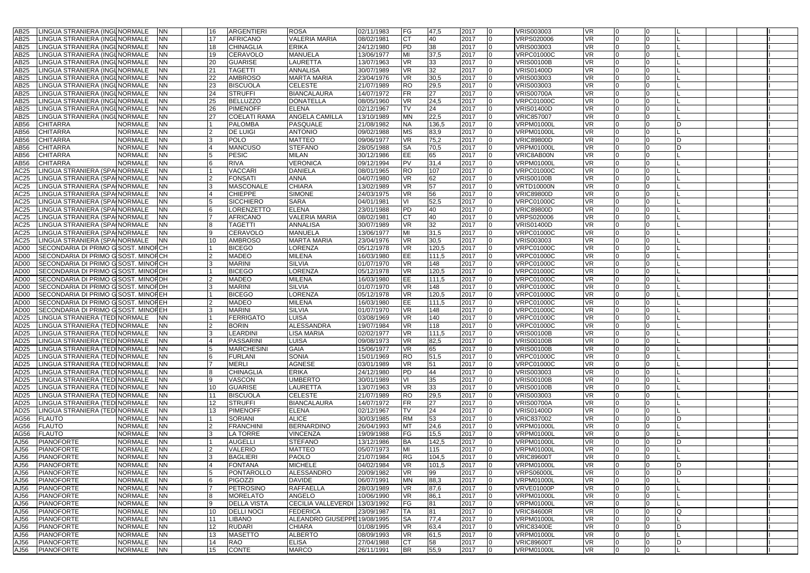| AB25             | LINGUA STRANIERA (INGLNORMALE        | <b>NN</b> |              | 16              | <b>ARGENTIERI</b>   | <b>ROSA</b>                   | 02/11/1983 | <b>FG</b> | 47,5  | 2017                   | VRIS003003        | <b>VR</b> |          |    |  |
|------------------|--------------------------------------|-----------|--------------|-----------------|---------------------|-------------------------------|------------|-----------|-------|------------------------|-------------------|-----------|----------|----|--|
|                  |                                      |           |              |                 |                     |                               |            |           |       |                        |                   |           |          |    |  |
| AB <sub>25</sub> | LINGUA STRANIERA (INGLNORMALE        | NN        |              | 17              | <b>AFRICANO</b>     | <b>VALERIA MARIA</b>          | 08/02/1981 | <b>CT</b> | 40    | 2017<br>l <sub>0</sub> | <b>VRPS020006</b> | <b>VR</b> |          |    |  |
| AB25             | LINGUA STRANIERA (INGLNORMALE        | NN        |              | 18              | <b>CHINAGLIA</b>    | <b>ERIKA</b>                  | 24/12/1980 | PD        | 38    | 2017<br>$\Omega$       | <b>VRIS003003</b> | VR.       | $\Omega$ |    |  |
| AB25             | LINGUA STRANIERA (INGLNORMALE        | ΝN        |              | 19              | CERAVOLO            | <b>MANUELA</b>                | 13/06/1977 | MI        | 37,5  | 2017                   | <b>VRPC01000C</b> | VR        |          |    |  |
|                  |                                      |           |              |                 |                     |                               |            |           |       |                        |                   |           |          |    |  |
| AB25             | LINGUA STRANIERA (INGLNORMALE        | NN        |              | 20              | <b>GUARISE</b>      | LAURETTA                      | 13/07/1963 | <b>VR</b> | 33    | 2017                   | <b>VRIS00100B</b> | <b>VR</b> |          |    |  |
| AB25             | LINGUA STRANIERA (INGLNORMALE        | ΝN        |              | 21              | <b>TAGETTI</b>      | ANNALISA                      | 30/07/1989 | <b>VR</b> | 32    | 2017<br>$\overline{0}$ | <b>VRIS01400D</b> | <b>VR</b> | $\Omega$ |    |  |
| AB25             | LINGUA STRANIERA (INGLNORMALE        | NΝ        |              | 22              | <b>AMBROSO</b>      | <b>MARTA MARIA</b>            | 23/04/1976 | <b>VR</b> | 30,5  | 2017<br>$\Omega$       | <b>VRIS003003</b> | VR        |          |    |  |
|                  |                                      |           |              |                 |                     |                               |            |           |       | $\Omega$               |                   |           |          |    |  |
| AB25             | LINGUA STRANIERA (INGL NORMALE       | NN        |              | 23              | <b>BISCUOLA</b>     | <b>CELESTE</b>                | 21/07/1989 | <b>RO</b> | 29,5  | 2017                   | <b>VRIS003003</b> | <b>VR</b> |          |    |  |
| AB25             | LINGUA STRANIERA (INGLNORMALE        | ΝN        |              | 24              | <b>STRUFFI</b>      | <b>BIANCALAURA</b>            | 14/07/1972 | <b>FR</b> | 27    | 2017<br>$\overline{0}$ | <b>VRIS00700A</b> | VR        | n        |    |  |
| AB25             | LINGUA STRANIERA (INGLNORMALE        | NN        |              | 25              | <b>BELLUZZO</b>     | <b>DONATELLA</b>              | 08/05/1960 | <b>VR</b> | 24,5  | 2017<br>$\Omega$       | <b>VRPC01000C</b> | VR        |          |    |  |
| AB25             | LINGUA STRANIERA (INGLNORMALE        | NN        |              | 26              | <b>PIMENOFF</b>     | <b>ELENA</b>                  | 02/12/1967 | <b>TV</b> | 24    | 2017<br>$\Omega$       | <b>VRIS01400D</b> | <b>VR</b> |          |    |  |
|                  |                                      |           |              |                 |                     |                               |            |           |       |                        |                   |           |          |    |  |
| AB25             | LINGUA STRANIERA (INGLNORMALE        | ΝN        |              | 27              | <b>COELATI RAMA</b> | <b>ANGELA CAMILLA</b>         | 13/10/1989 | <b>MN</b> | 22,5  | 2017<br>$\Omega$       | <b>VRIC857007</b> | <b>VR</b> | $\Omega$ |    |  |
| AB56             | <b>CHITARRA</b><br><b>NORMALE</b>    | ΝN        |              |                 | <b>PALOMBA</b>      | PASQUALE                      | 21/08/1982 | <b>NA</b> | 136,5 | 2017<br>$\Omega$       | <b>VRPM01000L</b> | VR        |          | D  |  |
| AB56             | <b>CHITARRA</b><br><b>NORMALE</b>    | NN        |              |                 | <b>DE LUIGI</b>     | <b>ANTONIO</b>                | 09/02/1988 | <b>MS</b> | 83,9  | 2017<br>$\Omega$       | <b>VRPM01000L</b> | <b>VR</b> |          |    |  |
|                  |                                      |           |              |                 |                     |                               |            |           |       |                        |                   |           |          |    |  |
| AB56             | <b>CHITARRA</b><br><b>NORMALE</b>    | ΝN        |              |                 | <b>POLO</b>         | <b>MATTEO</b>                 | 09/06/1977 | <b>VR</b> | 75,2  | 2017<br><b>0</b>       | <b>VRIC89800D</b> | <b>VR</b> | $\Omega$ | ID |  |
| AB56             | <b>CHITARRA</b><br>NORMALE           | NN        |              |                 | <b>MANCUSO</b>      | <b>STEFANO</b>                | 28/05/1988 | <b>SA</b> | 70,5  | 2017                   | <b>VRPM01000I</b> | VR.       |          | D  |  |
| AB56             | NORMALE<br><b>CHITARRA</b>           | NN        |              |                 | <b>PESIC</b>        | <b>MILAN</b>                  | 30/12/1986 | EE        | 65    | 2017<br>$\Omega$       | VRIC8AB00N        | <b>VR</b> |          |    |  |
|                  |                                      |           |              |                 |                     |                               |            |           |       |                        |                   |           |          |    |  |
| AB56             | <b>CHITARRA</b><br><b>NORMALE</b>    | NN        |              |                 | <b>RIVA</b>         | <b>VERONICA</b>               | 09/12/1994 | <b>PV</b> | 31,4  | 2017<br>$\Omega$       | <b>VRPM01000L</b> | <b>VR</b> |          |    |  |
| AC25             | LINGUA STRANIERA (SPAINORMALE        | NN        |              |                 | <b>VACCARI</b>      | <b>DANIELA</b>                | 08/01/1965 | <b>RO</b> | 107   | 2017<br>$\Omega$       | <b>VRPC01000C</b> | <b>VR</b> |          |    |  |
| AC25             | LINGUA STRANIERA (SPAINORMALE        | NN        |              |                 | FONSATI             | ANNA                          | 04/07/1980 | <b>VR</b> | 62    | 2017<br>$\Omega$       | <b>VRIS00100B</b> | VR.       |          |    |  |
|                  |                                      | NN        |              |                 |                     | <b>CHIARA</b>                 |            |           |       | 2017<br>$\Omega$       |                   | <b>VR</b> |          |    |  |
| AC25             | LINGUA STRANIERA (SPAINORMALE        |           |              |                 | <b>MASCONALE</b>    |                               | 13/02/1989 | <b>VR</b> | 57    |                        | <b>VRTD10000N</b> |           |          |    |  |
| AC25             | LINGUA STRANIERA (SPAINORMALE        | ΝN        |              |                 | <b>CHIEPPE</b>      | <b>SIMONE</b>                 | 24/03/1975 | <b>VR</b> | 56    | 2017<br><b>O</b>       | <b>VRIC89800D</b> | VR        | 0        |    |  |
| AC25             | LINGUA STRANIERA (SPAINORMALE        | ΝN        |              |                 | <b>SICCHIERO</b>    | <b>SARA</b>                   | 04/01/1981 | VI        | 52,5  | 2017                   | <b>VRPC01000C</b> | <b>VR</b> |          |    |  |
| AC25             | LINGUA STRANIERA (SPA NORMALE        | ΝN        |              |                 | LORENZETTO          | <b>ELENA</b>                  | 23/01/1988 | PD        | 40    | 2017<br>$\Omega$       | <b>VRIC89800D</b> | <b>VR</b> |          |    |  |
|                  |                                      |           |              |                 |                     |                               |            |           |       |                        |                   |           |          |    |  |
| AC25             | LINGUA STRANIERA (SPAINORMALE        | NN        |              |                 | <b>AFRICANO</b>     | VALERIA MARIA                 | 08/02/1981 | <b>CT</b> | 40    | 2017<br>$\overline{0}$ | VRPS020006        | <b>VR</b> | $\Omega$ |    |  |
| AC25             | LINGUA STRANIERA (SPA NORMALE        | ΝN        |              |                 | TAGETTI             | ANNALISA                      | 30/07/1989 | <b>VR</b> | 32    | 2017                   | <b>VRIS01400D</b> | <b>VR</b> |          |    |  |
| AC25             | LINGUA STRANIERA (SPAINORMALE        | NN        |              |                 | CERAVOLO            | MANUELA                       | 13/06/1977 | MI        | 31,5  | 2017                   | <b>VRPC01000C</b> | <b>VR</b> |          |    |  |
|                  |                                      |           |              |                 |                     |                               |            |           |       |                        |                   |           |          |    |  |
| AC25             | LINGUA STRANIERA (SPAINORMALE        | ΝN        |              | 10              | <b>AMBROSO</b>      | <b>MARTA MARIA</b>            | 23/04/1976 | <b>VR</b> | 30,5  | 2017<br>$\overline{0}$ | <b>VRIS003003</b> | <b>VR</b> | <b>0</b> |    |  |
| AD00             | SECONDARIA DI PRIMO GISOST. MINOFICH |           |              |                 | <b>BICEGO</b>       | LORENZA                       | 05/12/1978 | <b>VR</b> | 120,5 | 2017<br>$\Omega$       | <b>VRPC01000C</b> | <b>VR</b> |          |    |  |
| AD00             | SECONDARIA DI PRIMO GISOST. MINOFICH |           |              |                 | <b>MADEO</b>        | <b>MILENA</b>                 | 16/03/1980 | EE        | 111,5 | 2017<br>$\Omega$       | <b>VRPC01000C</b> | <b>VR</b> |          |    |  |
|                  |                                      |           |              |                 |                     |                               |            |           |       |                        |                   |           | $\Omega$ |    |  |
| AD00             | SECONDARIA DI PRIMO G SOST. MINOFICH |           |              |                 | <b>MARINI</b>       | <b>SILVIA</b>                 | 01/07/1970 | <b>VR</b> | 148   | 2017<br>0              | <b>VRPC01000C</b> | VR        |          |    |  |
| AD00             | SECONDARIA DI PRIMO G SOST. MINOF DH |           |              |                 | <b>BICEGO</b>       | LORENZA                       | 05/12/1978 | <b>VR</b> | 120,5 | 2017<br>$\Omega$       | <b>VRPC01000C</b> | <b>VR</b> |          |    |  |
| AD00             | SECONDARIA DI PRIMO GISOST. MINOFIDH |           |              |                 | <b>MADEO</b>        | <b>MILENA</b>                 | 16/03/1980 | EE        | 111,5 | 2017<br>$\Omega$       | <b>VRPC01000C</b> | <b>VR</b> |          |    |  |
| AD00             | SECONDARIA DI PRIMO GISOST. MINOFIDH |           |              |                 | <b>MARINI</b>       | <b>SILVIA</b>                 | 01/07/1970 | <b>VR</b> | 148   | 2017<br>$\Omega$       | <b>VRPC01000C</b> | <b>VR</b> | $\Omega$ |    |  |
|                  |                                      |           |              |                 |                     |                               |            |           |       |                        |                   |           |          |    |  |
| AD00             | SECONDARIA DI PRIMO G SOST. MINOREH  |           |              |                 | <b>BICEGO</b>       | LORENZA                       | 05/12/1978 | <b>VR</b> | 120,5 | 2017<br>$\Omega$       | <b>VRPC01000C</b> | <b>VR</b> |          |    |  |
| AD00             | SECONDARIA DI PRIMO G SOST. MINOFEH  |           |              |                 | <b>MADEO</b>        | <b>MILENA</b>                 | 16/03/1980 | EE.       | 111.5 | 2017<br>$\Omega$       | <b>VRPC01000C</b> | <b>VR</b> |          |    |  |
| AD00             | SECONDARIA DI PRIMO G SOST. MINOFEH  |           |              |                 | <b>MARINI</b>       | <b>SILVIA</b>                 | 01/07/1970 | <b>VR</b> | 148   | 2017<br>0              | <b>VRPC01000C</b> | <b>VR</b> | $\Omega$ |    |  |
|                  |                                      |           |              |                 |                     |                               |            |           |       |                        |                   |           |          |    |  |
| AD25             | LINGUA STRANIERA (TEDINORMALE        | ΝN        |              |                 | <b>FERRIGATO</b>    | <b>LUISA</b>                  | 03/08/1969 | <b>VR</b> | 140   | 2017                   | <b>VRPC01000C</b> | <b>VR</b> |          |    |  |
| AD25             | LINGUA STRANIERA (TEDINORMALE        | ΝN        |              |                 | <b>BORIN</b>        | <b>ALESSANDRA</b>             | 19/07/1984 | <b>VR</b> | 118   | 2017                   | <b>VRPC01000C</b> | VR.       |          |    |  |
| AD <sub>25</sub> | LINGUA STRANIERA (TEDINORMALE        | NN        |              |                 | LEARDINI            | <b>LISA MARIA</b>             | 02/02/1977 | <b>VR</b> | 111,5 | 2017<br>$\Omega$       | <b>VRIS00100B</b> | <b>VR</b> | $\Omega$ |    |  |
|                  |                                      |           |              |                 |                     |                               |            |           |       |                        |                   |           |          |    |  |
| AD25             | LINGUA STRANIERA (TEDINORMALE        | NN        |              |                 | <b>PASSARINI</b>    | <b>LUISA</b>                  | 09/08/1973 | <b>VR</b> | 82,5  | 2017<br>$\Omega$       | <b>VRIS00100B</b> | <b>VR</b> |          |    |  |
| AD25             | LINGUA STRANIERA (TEDINORMALE        | ΝN        |              |                 | <b>MARCHESINI</b>   | GAIA                          | 15/06/1977 | VR        | 65    | 2017<br>$\Omega$       | <b>VRIS00100B</b> | VR        |          |    |  |
| AD <sub>25</sub> | LINGUA STRANIERA (TEDINORMALE        | NN        |              |                 | <b>FURLANI</b>      | <b>SONIA</b>                  | 15/01/1969 | <b>RO</b> | 51,5  | 2017<br>$\Omega$       | <b>VRPC01000C</b> | <b>VR</b> | $\Omega$ |    |  |
|                  |                                      |           |              |                 |                     | <b>AGNESE</b>                 |            | <b>VR</b> |       |                        |                   |           |          |    |  |
| AD <sub>25</sub> | LINGUA STRANIERA (TEDINORMALE        | ΝN        |              |                 | <b>MERLI</b>        |                               | 03/01/1989 |           | 51    | 2017<br>$\overline{0}$ | <b>VRPC01000C</b> | VR        | O        |    |  |
| AD25             | LINGUA STRANIERA (TEDINORMALE        | ΝN        |              |                 | <b>CHINAGLIA</b>    | <b>ERIKA</b>                  | 24/12/1980 | PD        | 44    | 2017<br>n              | <b>VRIS003003</b> | VR        |          |    |  |
| AD <sub>25</sub> | LINGUA STRANIERA (TEDINORMALE        | NN        |              |                 | VASCON              | <b>UMBERTO</b>                | 30/01/1989 | VI        | 35    | 2017<br>0              | <b>VRIS00100B</b> | <b>VR</b> | $\Omega$ |    |  |
| AD25             | LINGUA STRANIERA (TEDINORMALE        | NN        |              | 10 <sup>°</sup> | <b>GUARISE</b>      | LAURETTA                      | 13/07/1963 | <b>VR</b> | 33    | 2017<br>$\overline{0}$ | <b>VRIS00100B</b> | <b>VR</b> | $\Omega$ |    |  |
|                  |                                      |           |              |                 |                     |                               |            |           |       |                        |                   |           |          |    |  |
| AD25             | LINGUA STRANIERA (TEDINORMALE        | ΝN        |              | 11              | <b>BISCUOLA</b>     | <b>CELESTE</b>                | 21/07/1989 | <b>RO</b> | 29,5  | 2017<br>n              | <b>VRIS003003</b> | VR        |          |    |  |
| AD25             | LINGUA STRANIERA (TEDINORMALE        | NN        |              | 12 <sup>2</sup> | <b>STRUFFI</b>      | <b>BIANCALAURA</b>            | 14/07/1972 | <b>FR</b> | 27    | 2017<br>$\Omega$       | <b>VRIS00700A</b> | <b>VR</b> |          |    |  |
| AD25             | LINGUA STRANIERA (TEDINORMALE        | ΝN        |              | 13              | <b>PIMENOFF</b>     | <b>ELENA</b>                  | 02/12/1967 | <b>TV</b> | 24    | 2017<br>$\overline{0}$ | <b>VRIS01400D</b> | <b>VR</b> | $\Omega$ |    |  |
|                  | <b>FLAUTO</b>                        |           |              |                 |                     | <b>ALICE</b>                  | 30/03/1985 | <b>RM</b> | 53    | $\Omega$               | <b>VRIC837002</b> |           |          | ID |  |
| AG56             | NORMALE                              | ΝN        |              |                 | <b>SORIANI</b>      |                               |            |           |       | 2017                   |                   | VR        |          |    |  |
| AG56             | <b>FLAUTO</b><br><b>NORMALE</b>      | NN        |              |                 | <b>FRANCHINI</b>    | <b>BERNARDINO</b>             | 26/04/1993 | MT        | 24,6  | 2017<br>$\Omega$       | <b>VRPM01000L</b> | <b>VR</b> |          |    |  |
| AG56             | <b>FLAUTO</b><br><b>NORMALE</b>      | ΝN        |              |                 | LA TORRE            | <b>VINCENZA</b>               | 19/09/1988 | FG        | 15,5  | 2017<br>$\Omega$       | <b>VRPM01000L</b> | VR        |          |    |  |
| AJ56             | <b>PIANOFORTE</b><br><b>NORMALE</b>  | ΝN        |              |                 | <b>AUGELLI</b>      | <b>STEFANO</b>                | 13/12/1986 | <b>BA</b> | 142,5 | 2017<br>$\Omega$       | <b>VRPM01000L</b> | VR        |          | D  |  |
|                  |                                      |           |              |                 |                     |                               |            |           |       |                        |                   |           |          |    |  |
| AJ56             | <b>PIANOFORTE</b><br><b>NORMALE</b>  | <b>NN</b> |              | 2               | <b>VALERIO</b>      | <b>MATTEO</b>                 | 05/07/1973 | MI        | 115   | $\overline{0}$<br>2017 | <b>VRPM01000L</b> | <b>VR</b> |          |    |  |
| AJ56             | <b>PIANOFORTE</b><br><b>NORMALE</b>  | <b>NN</b> | $\mathbf{R}$ |                 | <b>BAGLIERI</b>     | <b>PAOLO</b>                  | 21/07/1984 | RG        | 104,5 | 2017<br>$\Omega$       | <b>VRIC89600T</b> | <b>VR</b> |          |    |  |
|                  | AJ56 PIANOFORTE<br>NORMALE           | <b>NN</b> |              |                 | <b>FONTANA</b>      | <b>MICHELE</b>                | 04/02/1984 | <b>VR</b> | 101,5 | 2017<br>١O             | <b>VRPM01000L</b> | VR        |          | ID |  |
|                  |                                      |           |              |                 |                     |                               |            |           |       |                        |                   |           |          |    |  |
|                  | AJ56 PIANOFORTE<br>NORMALE           | <b>NN</b> |              |                 | <b>PONTAROLLO</b>   | ALESSANDRO                    | 20/09/1982 | <b>VR</b> | 99    | 2017                   | <b>VRPS06000L</b> | <b>VR</b> |          | D  |  |
|                  | AJ56 PIANOFORTE<br>NORMALE           | <b>NN</b> |              | 6               | <b>PIGOZZI</b>      | <b>DAVIDE</b>                 | 06/07/1991 | <b>MN</b> | 88,3  | 2017<br><b>O</b>       | <b>VRPM01000L</b> | VR        | <b>O</b> |    |  |
|                  | AJ56 PIANOFORTE<br><b>NORMALE</b>    | NN        |              |                 | <b>PETROSINO</b>    | <b>RAFFAELLA</b>              | 28/03/1989 | <b>VR</b> | 87,6  | 2017                   | <b>VRVE01000P</b> | VR        |          |    |  |
|                  | <b>PIANOFORTE</b><br><b>NORMALE</b>  |           |              |                 | <b>MORELATO</b>     | ANGELO                        |            | <b>VR</b> |       | 0                      | <b>VRPM01000L</b> | <b>VR</b> |          |    |  |
| AJ56             |                                      | NN        |              |                 |                     |                               | 10/06/1990 |           | 86,1  | 2017                   |                   |           |          |    |  |
| AJ56             | <b>PIANOFORTE</b><br><b>NORMALE</b>  | <b>NN</b> | q            |                 | <b>DELLA VISTA</b>  | CECILIA VALLEVERDI 13/03/1992 |            | FG        | 81    | 2017<br>$\Omega$       | <b>VRPM01000L</b> | <b>VR</b> | $\Omega$ |    |  |
| AJ56             | <b>PIANOFORTE</b><br>NORMALE         | <b>NN</b> |              | 10              | <b>DELLI NOCI</b>   | <b>FEDERICA</b>               | 23/09/1987 | <b>TA</b> | 81    | 2017<br><b>O</b>       | <b>VRIC84600R</b> | VR        | <b>0</b> | Q  |  |
| AJ56             | <b>PIANOFORTE</b><br>NORMALE         | NN        |              | 11              | <b>LIBANO</b>       | ALEANDRO GIUSEPPE 19/08/1995  |            | <b>SA</b> | 77,4  | 2017<br>$\Omega$       | <b>VRPM01000L</b> | <b>VR</b> |          |    |  |
|                  |                                      |           |              |                 |                     |                               |            |           |       |                        |                   |           |          |    |  |
| AJ56             | <b>NORMALE</b><br><b>PIANOFORTE</b>  | <b>NN</b> |              | 12              | <b>RUDARI</b>       | <b>CHIARA</b>                 | 01/08/1995 | <b>VR</b> | 63,4  | 2017<br>0              | <b>VRIC83400E</b> | <b>VR</b> |          | ID |  |
|                  | AJ56 PIANOFORTE<br>NORMALE           | <b>NN</b> |              | 13              | <b>MASETTO</b>      | <b>ALBERTO</b>                | 08/09/1993 | VR.       | 61,5  | 2017<br>0              | <b>VRPM01000L</b> | VR        | 10       |    |  |
|                  | AJ56 PIANOFORTE<br>NORMALE           | NN        |              | 14              | <b>RAO</b>          | <b>ELISA</b>                  | 27/04/1988 | СT        | 58    | 2017<br>$\Omega$       | <b>VRIC89600T</b> | VR        | $\Omega$ | ID |  |
|                  |                                      |           |              |                 |                     |                               |            |           |       |                        |                   |           |          |    |  |
|                  | AJ56 PIANOFORTE<br>NORMALE NN        |           |              | 15              | CONTE               | <b>MARCO</b>                  | 26/11/1991 | <b>BR</b> | 55,9  | 2017<br>$\overline{0}$ | <b>VRPM01000L</b> | <b>VR</b> | 10       |    |  |